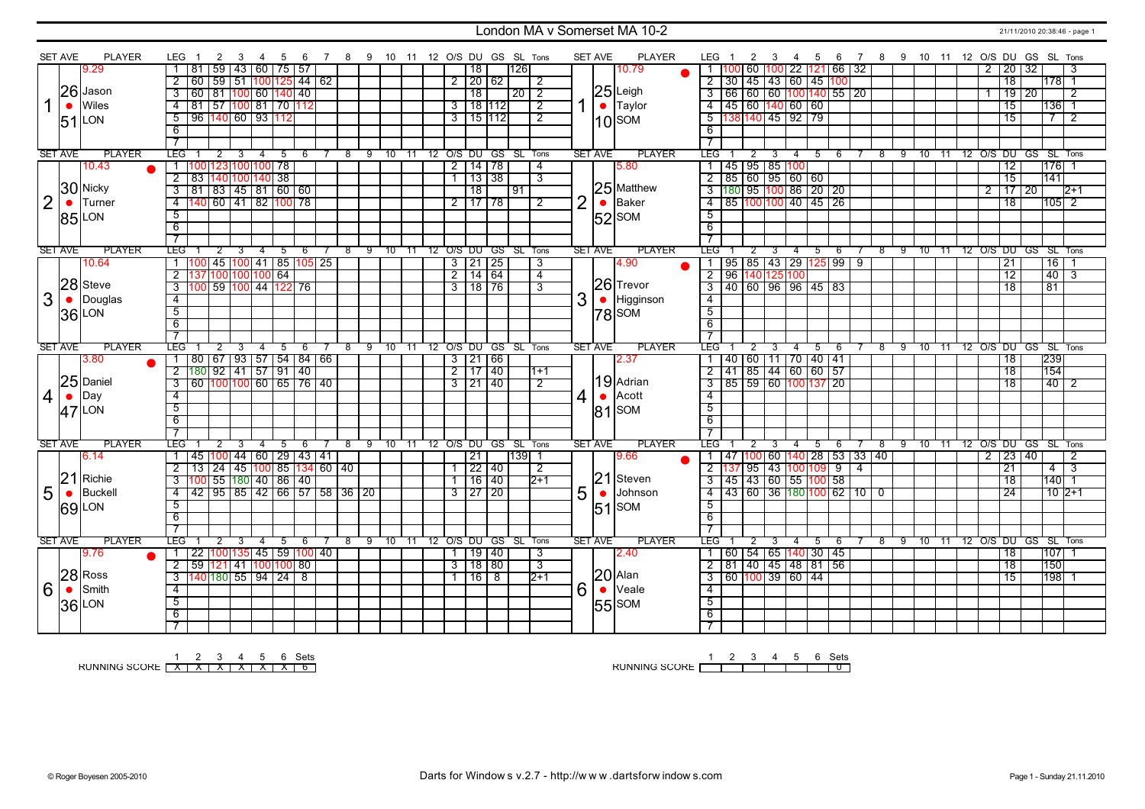### London MA v Somerset MA 10-2 221/11/2010 20:38:46 - page 1

|                | <b>SET AVE</b> | <b>PLAYER</b>  | LEG                          | 2<br>3                                   | 4              | - 5 | - 6 |            |        | 7 8 9 10 11 12 O/S DU GS SL Tons |       |                |                     |                      |         |                |                | <b>SET AVE</b> | <b>PLAYER</b>    | LEG 1                                                                     | 2                                    | -3 | 4              | 5  | 6           |                |            |    |               |     |                |                     | 7 8 9 10 11 12 O/S DU GS SL Tons |  |
|----------------|----------------|----------------|------------------------------|------------------------------------------|----------------|-----|-----|------------|--------|----------------------------------|-------|----------------|---------------------|----------------------|---------|----------------|----------------|----------------|------------------|---------------------------------------------------------------------------|--------------------------------------|----|----------------|----|-------------|----------------|------------|----|---------------|-----|----------------|---------------------|----------------------------------|--|
|                |                | 9.29           | 81                           | 59   43   60   75   57                   |                |     |     |            |        |                                  |       |                | 18                  |                      | 126     |                |                |                | 10.79            |                                                                           |                                      |    | 60 100 22      |    | $121$ 66 32 |                |            |    |               |     | 2              | 20 32               | -3                               |  |
|                |                |                | $\overline{2}$<br>60         | 59 51 100 125 44 62                      |                |     |     |            |        |                                  |       |                |                     | 2 20 62              |         | 2              |                |                |                  | $2$ 30 45 43 60 45 100                                                    |                                      |    |                |    |             |                |            |    |               |     |                | 18                  | 178 1                            |  |
|                |                | 26 Jason       | $\overline{\mathbf{3}}$      | 60 81 100 60 140 40                      |                |     |     |            |        |                                  |       |                | $\overline{18}$     |                      | 2012    |                |                |                | 25 Leigh         | $\frac{3}{66} \frac{60}{60} \frac{100}{100} \frac{140}{35} \frac{55}{20}$ |                                      |    |                |    |             |                |            |    |               |     |                | $\frac{19}{20}$     | 2                                |  |
|                |                | Wiles          |                              |                                          |                |     |     |            |        |                                  |       |                |                     |                      |         |                |                |                |                  |                                                                           |                                      |    |                |    |             |                |            |    |               |     |                |                     |                                  |  |
| 1              | $\bullet$      |                | $-4$                         | 81   57 <mark>100  </mark> 81   70   112 |                |     |     |            |        |                                  |       |                |                     | 3   18   112         |         | $\overline{2}$ |                |                | $\bullet$ Taylor | $4$ $ 45 $ 60 $ 140 $ 60 $ 60 $                                           |                                      |    |                |    |             |                |            |    |               |     |                | 15                  | $ 136 $ 1                        |  |
|                |                | $51$ LON       | $5^-$                        | 96 140 60 93 112                         |                |     |     |            |        |                                  |       |                |                     | $3$ 15 112           |         | $\overline{2}$ |                |                | $10$ SOM         | $5 \vert 1$                                                               | 38 140 45 92 79                      |    |                |    |             |                |            |    |               |     |                | 15                  | $\overline{2}$                   |  |
|                |                |                | 6                            |                                          |                |     |     |            |        |                                  |       |                |                     |                      |         |                |                |                |                  | 6                                                                         |                                      |    |                |    |             |                |            |    |               |     |                |                     |                                  |  |
|                |                |                | $\overline{7}$               |                                          |                |     |     |            |        |                                  |       |                |                     |                      |         |                |                |                |                  |                                                                           |                                      |    |                |    |             |                |            |    |               |     |                |                     |                                  |  |
|                | <b>SET AVE</b> | <b>PLAYER</b>  | <b>LEG</b>                   |                                          |                | 5   | 6   | 8          | 9      | 10                               | $-11$ |                |                     | 12 O/S DU GS SL Tons |         |                |                | <b>SET AVE</b> | <b>PLAYER</b>    | LEG                                                                       |                                      |    | 4              | 5  | 6           |                | 8          | 9  | 10            | -11 |                |                     | 12 O/S DU GS SL Tons             |  |
|                |                | 10.43          |                              | 100 123 100 100 78                       |                |     |     |            |        |                                  |       |                |                     | $2 \mid 14 \mid 78$  |         | $\overline{4}$ |                |                | 5.80             | 1   45   95   85   100                                                    |                                      |    |                |    |             |                |            |    |               |     |                | $\overline{12}$     | 176                              |  |
|                |                |                | $\overline{2}$               | 83 140 100 140 38                        |                |     |     |            |        |                                  |       |                |                     | $\frac{13}{38}$      |         | 3              |                |                |                  | $2$ 85 60 95 60 60                                                        |                                      |    |                |    |             |                |            |    |               |     |                | $\overline{15}$     | 141                              |  |
|                |                | 30 Nicky       | $\overline{3}$               | $81$ 83 45 81 60 60                      |                |     |     |            |        |                                  |       |                | $\overline{18}$     |                      | 91      |                |                |                | 25 Matthew       | 3 180 95 100 86 20 20                                                     |                                      |    |                |    |             |                |            |    |               |     | $\overline{2}$ | $17$ 20             | $12+1$                           |  |
| $\overline{2}$ | $\bullet$      | Turner         | $\overline{4}$               | 140 60 41 82 100 78                      |                |     |     |            |        |                                  |       |                |                     | $2$ 17 78            |         | 2              | $\overline{2}$ | $\bullet$      | Baker            | 4 85 100 100 40 45 26                                                     |                                      |    |                |    |             |                |            |    |               |     |                | $\overline{18}$     | $105$ <sup>2</sup>               |  |
|                |                | 85 LON         | $\overline{5}$               |                                          |                |     |     |            |        |                                  |       |                |                     |                      |         |                |                |                | $ 52 $ SOM       | $\overline{5}$                                                            |                                      |    |                |    |             |                |            |    |               |     |                |                     |                                  |  |
|                |                |                | 6                            |                                          |                |     |     |            |        |                                  |       |                |                     |                      |         |                |                |                |                  | $\overline{6}$                                                            |                                      |    |                |    |             |                |            |    |               |     |                |                     |                                  |  |
|                |                |                | $\overline{\tau}$            |                                          |                |     |     |            |        |                                  |       |                |                     |                      |         |                |                |                |                  |                                                                           |                                      |    |                |    |             |                |            |    |               |     |                |                     |                                  |  |
|                | <b>SET AVE</b> | <b>PLAYER</b>  | <b>LEG</b>                   | 2                                        |                | 5   | 6   | $^{\circ}$ | ු ඉ    | 10                               | -11   |                |                     | 12 O/S DU GS         | SL Tons |                |                | <b>SET AVE</b> | <b>PLAYER</b>    | LEG"                                                                      |                                      |    |                | 5  | 6           |                | $^{\circ}$ | ඉ  | 10            | -11 |                | 12 O/S DU GS        | SL Tons                          |  |
|                |                | 10.64          | 1001                         | 45 100 41 85 105 25                      |                |     |     |            |        |                                  |       |                | $3 \mid 21 \mid 25$ |                      |         | 3              |                |                | 4.90             | 1 I                                                                       | 95 85 43 29 125                      |    |                |    | 99          | 9              |            |    |               |     |                | 21                  | 16                               |  |
|                |                |                | $\overline{2}$               | 137 100 100 100  64                      |                |     |     |            |        |                                  |       | $\overline{2}$ | 14 64               |                      |         | 4              |                |                |                  | $\overline{2}$                                                            | 96 140 125 100                       |    |                |    |             |                |            |    |               |     |                | $\overline{12}$     | $\overline{40}$<br>3             |  |
|                |                | 28 Steve       | 3 <sup>1</sup>               | 100 59 100 44 122 76                     |                |     |     |            |        |                                  |       |                | $3 \mid 18 \mid 76$ |                      |         | $\overline{3}$ |                |                | 26 Trevor        | 3   40   60   96   96   45   83                                           |                                      |    |                |    |             |                |            |    |               |     |                | $\overline{18}$     | $\overline{81}$                  |  |
| 3              |                | Douglas        | $\overline{4}$               |                                          |                |     |     |            |        |                                  |       |                |                     |                      |         |                | 3              | $\bullet$      |                  | $\overline{4}$                                                            |                                      |    |                |    |             |                |            |    |               |     |                |                     |                                  |  |
|                | $\bullet$      |                |                              |                                          |                |     |     |            |        |                                  |       |                |                     |                      |         |                |                |                | Higginson        |                                                                           |                                      |    |                |    |             |                |            |    |               |     |                |                     |                                  |  |
|                |                | 36 LON         | $\overline{5}$               |                                          |                |     |     |            |        |                                  |       |                |                     |                      |         |                |                |                | $ 78 $ SOM       | $\overline{5}$                                                            |                                      |    |                |    |             |                |            |    |               |     |                |                     |                                  |  |
|                |                |                | $\overline{6}$               |                                          |                |     |     |            |        |                                  |       |                |                     |                      |         |                |                |                |                  | $\overline{6}$                                                            |                                      |    |                |    |             |                |            |    |               |     |                |                     |                                  |  |
|                |                |                | $\overline{7}$               |                                          |                |     |     |            |        |                                  |       |                |                     |                      |         |                |                |                |                  |                                                                           |                                      |    |                |    |             |                |            |    |               |     |                |                     |                                  |  |
|                | <b>SET AVE</b> | <b>PLAYER</b>  | <b>TEG</b>                   | 2<br>80   67   93   57   54   84   66    |                | 5   | 6   |            | 8      | 9 10 11                          |       |                | 3   21   66         | 12 O/S DU GS SL Tons |         |                |                | <b>SET AVE</b> | <b>PLAYER</b>    | LEG <sup>-</sup>                                                          | 40 60 11 70 40 41                    |    | 4              | 5  | 6           |                | 8          | -9 | $10 \quad 11$ |     |                |                     | 12 O/S DU GS SL Tons<br>239      |  |
|                |                | 3.80           |                              |                                          |                |     |     |            |        |                                  |       |                |                     |                      |         |                |                |                |                  | $\mathbf{1}$                                                              |                                      |    |                |    |             |                |            |    |               |     |                | $\overline{18}$     |                                  |  |
|                |                |                |                              |                                          |                |     |     |            |        |                                  |       |                |                     |                      |         |                |                |                | 2.37             |                                                                           |                                      |    |                |    |             |                |            |    |               |     |                |                     |                                  |  |
|                |                |                | $\overline{2}$               | 180 92 41 57 91 40                       |                |     |     |            |        |                                  |       |                | $2 \mid 17 \mid 40$ |                      |         | $11+1$         |                |                |                  | $\overline{2}$                                                            | 41 85 44 60 60 57                    |    |                |    |             |                |            |    |               |     |                | $\overline{18}$     | 154                              |  |
|                |                | $ 25 $ Daniel  | $\overline{3}$               | 60 100 100 60 65 76 40                   |                |     |     |            |        |                                  |       |                | $3 \mid 21 \mid 40$ |                      |         | $\overline{2}$ |                |                | 19 Adrian        | $\overline{3}$                                                            | <u>  85   59   60  100  137   20</u> |    |                |    |             |                |            |    |               |     |                | $\overline{18}$     | $40$   2                         |  |
| $\overline{4}$ | $\bullet$      | Day            | $\overline{4}$               |                                          |                |     |     |            |        |                                  |       |                |                     |                      |         |                | $\overline{4}$ |                | Acott            | $\overline{4}$                                                            |                                      |    |                |    |             |                |            |    |               |     |                |                     |                                  |  |
|                |                |                | 5                            |                                          |                |     |     |            |        |                                  |       |                |                     |                      |         |                |                |                |                  | 5                                                                         |                                      |    |                |    |             |                |            |    |               |     |                |                     |                                  |  |
|                |                | $47$ LON       | 6                            |                                          |                |     |     |            |        |                                  |       |                |                     |                      |         |                |                |                | $ 81 $ SOM       | 6                                                                         |                                      |    |                |    |             |                |            |    |               |     |                |                     |                                  |  |
|                |                |                |                              |                                          |                |     |     |            |        |                                  |       |                |                     |                      |         |                |                |                |                  |                                                                           |                                      |    |                |    |             |                |            |    |               |     |                |                     |                                  |  |
|                | <b>SET AVE</b> | <b>PLAYER</b>  | <b>LEG</b>                   |                                          | 4              | -5  | -6  | 8          |        | 9 10 11 12 O/S DU GS SL Tons     |       |                |                     |                      |         |                |                | <b>SET AVE</b> | PLAYER           | LEG.                                                                      | 2                                    | 3  | 4              | -5 | - 6         |                | $^{\circ}$ | 9  | $10 \quad 11$ |     |                |                     | 12 O/S DU GS SL Tons             |  |
|                |                | 6.14           |                              | 45   100   44   60   29   43   41        |                |     |     |            |        |                                  |       |                | 21                  |                      | 139 1   |                |                |                | 9.66             | 1   47   100   60   140   28                                              |                                      |    |                |    | 53 33 40    |                |            |    |               |     |                | $2 \mid 23 \mid 40$ | 2                                |  |
|                |                |                | $\overline{2}$               | 13 24 45 100 85 134 60 40                |                |     |     |            |        |                                  |       |                | 22 40               |                      |         | 2              |                |                |                  | $2\left  137 \right  95 \left  43 \right  100 \left  109 \right  9$       |                                      |    |                |    |             | $\overline{4}$ |            |    |               |     |                | 21                  | $\overline{\mathbf{3}}$<br>4     |  |
|                | 21             | Richie         | 3 <sup>1</sup>               | 100  55  180  40   86   40               |                |     |     |            |        |                                  |       |                | 16 40               |                      |         | 2+1            |                |                | 21 Steven        | $3  45  43   60   55   100   58$                                          |                                      |    |                |    |             |                |            |    |               |     |                | 18                  | 140 1                            |  |
|                | $\bullet$      | <b>Buckell</b> |                              | 4 42 95 85 42 66 57 58 36 20             |                |     |     |            |        |                                  |       |                | 3 27 20             |                      |         |                |                | $\bullet$      | Johnson          | $4$   43   60   36   180   100   62   10   0                              |                                      |    |                |    |             |                |            |    |               |     |                | 24                  | $10 2+1$                         |  |
| 5              |                |                |                              |                                          |                |     |     |            |        |                                  |       |                |                     |                      |         |                | 5              |                |                  | 5                                                                         |                                      |    |                |    |             |                |            |    |               |     |                |                     |                                  |  |
|                |                | <b>69</b> LON  | 5                            |                                          |                |     |     |            |        |                                  |       |                |                     |                      |         |                |                | 51             | SOM              |                                                                           |                                      |    |                |    |             |                |            |    |               |     |                |                     |                                  |  |
|                |                |                | 6                            |                                          |                |     |     |            |        |                                  |       |                |                     |                      |         |                |                |                |                  | 6                                                                         |                                      |    |                |    |             |                |            |    |               |     |                |                     |                                  |  |
|                | <b>SET AVE</b> | <b>PLAYER</b>  | $\overline{7}$<br><b>LEG</b> | $\mathbf{2}^{\prime}$<br>3               | $\overline{4}$ |     | -6  |            | 8<br>9 |                                  | - 11  |                |                     |                      |         |                |                | <b>SET AVE</b> | <b>PLAYER</b>    | LEG                                                                       | 2                                    | 3  | $\overline{4}$ | 5  | - 6         |                | 8          | 9  |               | 11  |                |                     |                                  |  |
|                |                |                |                              |                                          |                | 5   |     |            |        | 10                               |       |                |                     | 12 O/S DU GS SL Tons |         | 3              |                |                | 2.40             |                                                                           |                                      |    |                |    |             |                |            |    | 10            |     |                |                     | 12 O/S DU GS SL Tons             |  |
|                |                | 9.76           |                              | 22   100   135   45   59   100   40      |                |     |     |            |        |                                  |       |                |                     | 19 40                |         |                |                |                |                  | 1   60   54   65   140   30   45                                          |                                      |    |                |    |             |                |            |    |               |     |                | 18                  | 107                              |  |
|                |                |                | $\overline{2}$               | 59 121 41 100 100 80                     |                |     |     |            |        |                                  |       | $\overline{3}$ | 18 80               |                      |         | $\overline{3}$ |                |                |                  | $\overline{2}$                                                            | 81 40 45 48 81 56                    |    |                |    |             |                |            |    |               |     |                | 18                  | 150                              |  |
|                |                | $28$ Ross      | $\overline{3}$               | 140 180 55 94 24 8                       |                |     |     |            |        |                                  |       |                | 16 8                |                      |         | $12+1$         |                |                | $20$ Alan        | 3   60   100   39   60   44                                               |                                      |    |                |    |             |                |            |    |               |     |                | $\overline{15}$     | 198 1                            |  |
| 6              | $\bullet$      | Smith          | $\overline{4}$               |                                          |                |     |     |            |        |                                  |       |                |                     |                      |         |                | 6              | $\bullet$      | Veale            | $\overline{4}$                                                            |                                      |    |                |    |             |                |            |    |               |     |                |                     |                                  |  |
|                |                | <b>36 LON</b>  | $\overline{5}$               |                                          |                |     |     |            |        |                                  |       |                |                     |                      |         |                |                |                | 55 SOM           | $\overline{5}$                                                            |                                      |    |                |    |             |                |            |    |               |     |                |                     |                                  |  |
|                |                |                | 6<br>$\overline{7}$          |                                          |                |     |     |            |        |                                  |       |                |                     |                      |         |                |                |                |                  | 6                                                                         |                                      |    |                |    |             |                |            |    |               |     |                |                     |                                  |  |

RUNNING SCORE 1 X 2 X 3 X 4 X 5 X 6 X Sets 6

RUNNING SCORE 1 2 3 4 5 6 Sets 0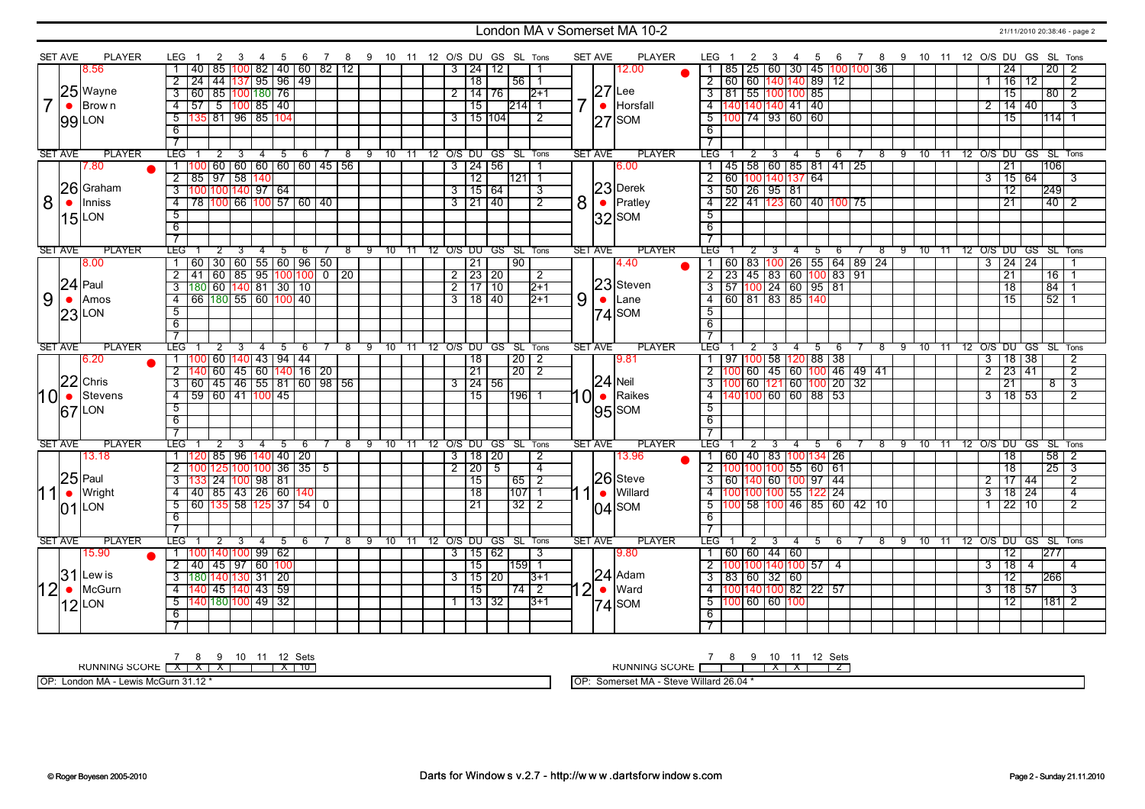#### London MA v Somerset MA 10-2 21/11/2010 20:38:46 - page 2

|      | <b>SET AVE</b> | <b>PLAYER</b>   | LEG 1<br>2<br>-3                                                     | 4 5<br>6                                               | 7 8 9 10 11 12 O/S DU GS SL Tons |               |                         |                |                          |                 |                   |                | <b>SET AVE</b>    | PLAYER        | LEG 1                                        | 2 3 |                         |                                  |           | 4 5 6 7 8 9 10 11 12 O/S DU GS SL Tons |          |                      |                |                     |                      |                |
|------|----------------|-----------------|----------------------------------------------------------------------|--------------------------------------------------------|----------------------------------|---------------|-------------------------|----------------|--------------------------|-----------------|-------------------|----------------|-------------------|---------------|----------------------------------------------|-----|-------------------------|----------------------------------|-----------|----------------------------------------|----------|----------------------|----------------|---------------------|----------------------|----------------|
|      |                | 8.56            | 85<br>40<br>100 I                                                    | 82   40   60   82   12                                 |                                  |               |                         | 3              | $124$ 12                 |                 |                   |                |                   | 12.00         | 1   85   25   60   30   45   100   100   36  |     |                         |                                  |           |                                        |          |                      |                | 24                  | 20                   | -2             |
|      |                |                 | 2 24 44 137 95 96 49                                                 |                                                        |                                  |               |                         |                | $\overline{18}$          |                 | $56$   1          |                |                   |               | 2   60   60   140   140   89   12            |     |                         |                                  |           |                                        |          |                      | 1              | 16 12               |                      | $\overline{2}$ |
|      |                | 25 Wayne        | 3 60 85 100 180 76                                                   |                                                        |                                  |               |                         | 2              | 14 76                    |                 | $12+1$            |                | $27$ Lee          |               | $3   81   55   100   100   85$               |     |                         |                                  |           |                                        |          |                      |                | $\overline{15}$     |                      | $80$   2       |
|      |                | $\bullet$ Brown | $4$ 57 5 100 85 40                                                   |                                                        |                                  |               |                         |                | 15                       | 214  1          |                   |                | $\bullet$         | Horsfall      | 4 140 140 140 41 40                          |     |                         |                                  |           |                                        |          |                      | $\overline{2}$ | $14 \mid 40$        |                      | $\overline{3}$ |
|      |                |                 | 135 81 96 85 104<br>5                                                |                                                        |                                  |               |                         |                | $3$ 15 104               |                 | 2                 |                | <b>SOM</b><br> 27 |               | $5 \mid 100 \mid 74 \mid 93 \mid 60 \mid 60$ |     |                         |                                  |           |                                        |          |                      |                | 15                  |                      | $114$ 1        |
|      |                | 99 LON          | 6                                                                    |                                                        |                                  |               |                         |                |                          |                 |                   |                |                   |               | 6                                            |     |                         |                                  |           |                                        |          |                      |                |                     |                      |                |
|      |                |                 | $\overline{7}$                                                       |                                                        |                                  |               |                         |                |                          |                 |                   |                |                   |               |                                              |     |                         |                                  |           |                                        |          |                      |                |                     |                      |                |
|      | <b>SET AVE</b> | <b>PLAYER</b>   | <b>TEG</b><br>2                                                      | 3  4  5  6  7  8  9  10  11  12  O/S  DU  GS  SL  Tons |                                  |               |                         |                |                          |                 |                   |                | <b>SET AVE</b>    | <b>PLAYER</b> | $LEG - 1$                                    |     |                         | 2 3 4 5 6                        |           | 7 8 9 10 11 12 O/S DU GS SL Tons       |          |                      |                |                     |                      |                |
|      |                | 7.80            |                                                                      | 60   60   60   60   60   45   56                       |                                  |               |                         |                | 3 24 56                  |                 |                   |                | 6.00              |               |                                              |     |                         | 45   58   60   85   81   41   25 |           |                                        |          |                      |                | $\overline{21}$     | 106                  |                |
|      |                |                 | 2 85 97 58 140                                                       |                                                        |                                  |               |                         |                | $\overline{12}$          |                 | $ 121 $ 1         |                |                   |               | 2 60 100 140 137 64                          |     |                         |                                  |           |                                        |          |                      | $\overline{3}$ | 15 64               |                      | 3              |
|      |                | 26 Graham       | $3  100 100 140 97 64$                                               |                                                        |                                  |               |                         |                | $3$ 15 64                |                 | 3                 |                | 23 Derek          |               | $3$ 50 26 95 81                              |     |                         |                                  |           |                                        |          |                      |                | $\overline{12}$     | 249                  |                |
| 8    | $\bullet$      | Inniss          | 4 78 100 66 100 57 60 40                                             |                                                        |                                  |               |                         |                | $3 \mid 21 \mid 40$      |                 | $\overline{2}$    | 8 <sup>1</sup> | $\bullet$ Pratley |               | $\overline{4}$                               |     |                         | 22 41 123 60 40 100 75           |           |                                        |          |                      |                | $\overline{21}$     |                      | $40$   $2$     |
|      |                | $15$ LON        | $\overline{5}$                                                       |                                                        |                                  |               |                         |                |                          |                 |                   |                | $ 32 $ SOM        |               | $\overline{5}$                               |     |                         |                                  |           |                                        |          |                      |                |                     |                      |                |
|      |                |                 | 6                                                                    |                                                        |                                  |               |                         |                |                          |                 |                   |                |                   |               | 6                                            |     |                         |                                  |           |                                        |          |                      |                |                     |                      |                |
|      |                |                 | $\overline{\tau}$                                                    |                                                        |                                  |               |                         |                |                          |                 |                   |                |                   |               |                                              |     |                         |                                  |           |                                        |          |                      |                |                     |                      |                |
|      | <b>SET AVE</b> | <b>PLAYER</b>   | <b>LEG</b><br>$\overline{2}$                                         | 3 4 5 6 7 8 9 10 11 12 O/S DU GS SL Tons               |                                  |               |                         |                |                          |                 |                   |                | SET AVE           | <b>PLAYER</b> | TEG I                                        | 2   | $\overline{\mathbf{3}}$ | 456                              |           | 7 8 9 10 11 12 O/S DU GS SL Tons       |          |                      |                |                     |                      |                |
|      |                | 8.00            | 1 60 30 60 55 60 96 50                                               |                                                        |                                  |               |                         |                | $\sqrt{21}$              | । ९०            |                   |                | 4.40              |               | 1   60   83   100   26   55   64   89   24   |     |                         |                                  |           |                                        |          |                      |                | $3 \mid 24 \mid 24$ |                      |                |
|      |                |                 | $2 \mid 41 \mid 60 \mid 85 \mid 95 \mid 100 \mid 100 \mid 0 \mid 20$ |                                                        |                                  |               |                         |                | $\frac{2}{2}$ 23 20      |                 | $\sqrt{2}$        |                |                   |               | $2$ 23 45 83 60 100 83 91                    |     |                         |                                  |           |                                        |          |                      |                | $\overline{21}$     |                      | $16$ 1         |
|      |                | $ 24 $ Paul     | 3 180 60 140 81 30 10                                                |                                                        |                                  |               |                         |                | 2 17 10                  |                 | $\overline{2+1}$  |                | 23 Steven         |               |                                              |     |                         |                                  |           |                                        |          |                      |                | $\overline{18}$     | 84                   |                |
| 9    | $\bullet$      | Amos            | $4$ 66 180 55 60 100 40                                              |                                                        |                                  |               |                         |                | $3 \mid 18 \mid 40$      |                 | $\sqrt{2+1}$      | 9              | $\bullet$<br>Lane |               | 4 60 81 83 85 140                            |     |                         |                                  |           |                                        |          |                      |                | $\overline{15}$     | $\overline{52}$      |                |
|      |                | $23$ LON        | $\overline{5}$                                                       |                                                        |                                  |               |                         |                |                          |                 |                   |                | $ 74 $ SOM        |               | $\overline{5}$                               |     |                         |                                  |           |                                        |          |                      |                |                     |                      |                |
|      |                |                 | 6                                                                    |                                                        |                                  |               |                         |                |                          |                 |                   |                |                   |               | 6                                            |     |                         |                                  |           |                                        |          |                      |                |                     |                      |                |
|      |                |                 | $\overline{7}$                                                       |                                                        |                                  |               |                         |                |                          |                 |                   |                |                   |               |                                              |     |                         |                                  |           |                                        |          |                      |                |                     |                      |                |
|      | <b>SET AVE</b> | <b>PLAYER</b>   | LEG                                                                  | 5                                                      | 9<br>$^{\circ}$                  | 10            | 11 12 O/S DU GS SL Tons |                |                          |                 |                   |                | <b>SET AVE</b>    | <b>PLAYER</b> | LEG <sup>-</sup>                             |     |                         | 5                                | 6         | -9<br>$^{\circ}$                       | $10^{-}$ |                      |                |                     | 12 O/S DU GS SL Tons |                |
|      |                | 6.20            | 1   100   60   140   43   94   44                                    |                                                        |                                  |               |                         |                | $\overline{18}$          |                 | 20 2              |                | 9.81              |               | 1   97   100   58   120   88   38            |     |                         |                                  |           |                                        |          |                      |                | 3   18   38         |                      | $\overline{2}$ |
|      |                | $22$ Chris      | $2\overline{140}$ 60 45 60 140 16 20                                 |                                                        |                                  |               |                         |                | $\overline{21}$          |                 | $\sqrt{20}$ 2     |                |                   |               |                                              |     |                         | 100 60 45 60 100 46 49 41        |           |                                        |          |                      | $\overline{2}$ | 23 41               |                      | $\overline{2}$ |
|      |                |                 |                                                                      |                                                        |                                  |               |                         |                | $3 \mid 24 \mid 56$      |                 |                   |                | $24$ Neil         |               |                                              |     |                         |                                  |           |                                        |          |                      |                | $\overline{21}$     | $\overline{8}$       |                |
| 10 ∙ |                | Stevens         | 4 59 60 41 100 45                                                    |                                                        |                                  |               |                         |                | 15                       |                 | 11961 1           | 1 OI           | $\bullet$ Raikes  |               | 4 140 100 60 60 88 53                        |     |                         |                                  |           |                                        |          |                      |                | 3 118 153           |                      | 2              |
|      |                | $67$ LON        | $\overline{5}$                                                       |                                                        |                                  |               |                         |                |                          |                 |                   |                | $ 95 $ SOM        |               | $\overline{5}$                               |     |                         |                                  |           |                                        |          |                      |                |                     |                      |                |
|      |                |                 | 6<br>$\overline{7}$                                                  |                                                        |                                  |               |                         |                |                          |                 |                   |                |                   |               | 6                                            |     |                         |                                  |           |                                        |          |                      |                |                     |                      |                |
|      | <b>SET AVE</b> | <b>PLAYER</b>   | <b>LEG</b>                                                           | -4                                                     | $^8$<br>9                        |               | $-11$                   |                | 12 O/S DU GS SL Tons     |                 |                   |                | <b>SET AVE</b>    | <b>PLAYER</b> | <b>LEG</b>                                   |     |                         | $\overline{4}$                   |           |                                        |          |                      |                |                     | 12 O/S DU GS SL Tons |                |
|      |                | 13.18           |                                                                      | 5<br>- 6<br>  85   96  140  40   20                    |                                  | 10            |                         | 3              | 118   20                 |                 | 2                 |                |                   | 13.96         |                                              |     |                         | -5<br>  60   40   83  100 134    | 6<br>l 26 | -8                                     | 9 10 11  |                      |                | 18                  |                      | $58$   2       |
|      |                |                 |                                                                      |                                                        |                                  |               |                         | $\overline{2}$ | 20                       | $5\overline{)}$ | $\overline{4}$    |                |                   |               | $2  100 100 100 55  60  61$                  |     |                         |                                  |           |                                        |          |                      |                | 18                  | 25                   | - 3            |
|      |                |                 |                                                                      |                                                        |                                  |               |                         |                |                          |                 |                   |                |                   |               |                                              |     |                         |                                  |           |                                        |          |                      |                |                     |                      | 2              |
|      |                |                 | $\overline{2}$                                                       | 100 125 100 100 36 35 5                                |                                  |               |                         |                |                          |                 |                   |                |                   |               |                                              |     |                         |                                  |           |                                        |          |                      |                |                     |                      | $\overline{4}$ |
|      |                | $25$ Paul       | 133 24 100 98 81<br>$\overline{3}$                                   |                                                        |                                  |               |                         |                | 15                       |                 | 65 2              |                | 26 Steve          |               | 3 60 140 60 100 97 44                        |     |                         |                                  |           |                                        |          |                      | $\overline{2}$ | 17 44               |                      |                |
|      | $\bullet$      | Wright          | 40 85 43 26 60 140<br>$\overline{4}$                                 |                                                        |                                  |               |                         |                | 18                       |                 | $ 107 $ 1         |                | $\bullet$         | Willard       | 4 100 100 100 55 122 24                      |     |                         |                                  |           |                                        |          |                      | $\overline{3}$ | $18 \mid 24$        |                      |                |
|      |                | $01$ LON        | 60 135 58 125 37 54 0<br>5                                           |                                                        |                                  |               |                         |                | 21                       |                 | $32 \mid 2$       |                | $ 04 $ SOM        |               | 5                                            |     |                         | 100 58 100 46 85 60 42 10        |           |                                        |          |                      | $\mathbf{1}$   | 22110               |                      | $\overline{2}$ |
|      |                |                 | -6                                                                   |                                                        |                                  |               |                         |                |                          |                 |                   |                |                   |               | 6                                            |     |                         |                                  |           |                                        |          |                      |                |                     |                      |                |
|      |                |                 | 7                                                                    |                                                        |                                  |               |                         |                |                          |                 |                   |                |                   |               | 7                                            |     |                         |                                  |           |                                        |          |                      |                |                     |                      |                |
|      | <b>SET AVE</b> | <b>PLAYER</b>   | LEG <sup>-</sup><br>$\mathbf{2}^{\circ}$<br>3                        | $\overline{4}$<br>5<br>6                               | $^8$<br>9                        | $10 \quad 11$ |                         |                | 12 O/S DU GS SL Tons     |                 |                   |                | <b>SET AVE</b>    | <b>PLAYER</b> | <b>LEG</b>                                   |     | 3                       | $\overline{4}$                   | 5 6       | 8                                      | 9 10 11  | 12 O/S DU GS SL Tons |                |                     |                      |                |
|      |                | 15.90           | 1   100   140   100   99   62                                        |                                                        |                                  |               |                         |                | 3 15 62                  |                 | 3                 |                | 9.80              |               |                                              |     | 60 60 44 60             |                                  |           |                                        |          |                      |                | 12                  | 277                  |                |
|      |                |                 | 2 40 45 97 60 100                                                    |                                                        |                                  |               |                         |                | $\overline{15}$          |                 | 159 1             |                |                   |               | $\overline{2}$                               |     |                         | $[100 100 140 100 57]$ 4         |           |                                        |          |                      | 3              | 18 <br>l 4          |                      | 4              |
|      | 31             | Lew is          |                                                                      |                                                        |                                  |               |                         |                | $3 \mid 15 \mid 20 \mid$ |                 | $\overline{3+1}$  |                | $24$ Adam         |               | 3   83   60   32   60                        |     |                         |                                  |           |                                        |          |                      |                | 12                  | 266                  |                |
| 12 ∙ |                | McGurn          | <mark>140  45  140  43   59</mark><br>$\overline{4}$                 |                                                        |                                  |               |                         |                | $\overline{15}$          |                 | $\overline{7412}$ |                | $12$ • Ward       |               | $\overline{4}$                               |     |                         | 100 140 100 82 22 57             |           |                                        |          |                      | 3              | 18 57               |                      | -3             |
|      |                | $12$ LON        | 140 180 100 49 32<br>$5^{-}$<br>6                                    |                                                        |                                  |               |                         |                | 1 13 32                  |                 | $13+1$            |                | $ 74 $ SOM        |               | 5 100 60 60 100<br>6                         |     |                         |                                  |           |                                        |          |                      |                | $\overline{12}$     |                      | $181$ 2        |
|      |                |                 |                                                                      |                                                        |                                  |               |                         |                |                          |                 |                   |                |                   |               |                                              |     |                         |                                  |           |                                        |          |                      |                |                     |                      |                |

RUNNING SCORE 7 X 8 X 9 X 10 11 12 X Sets 10

OP: London MA - Lewis McGurn 31.12 \*

RUNNING SCORE 7 8 9 10 X 11 X 12 Sets 2

OP: Somerset MA - Steve Willard 26.04 \*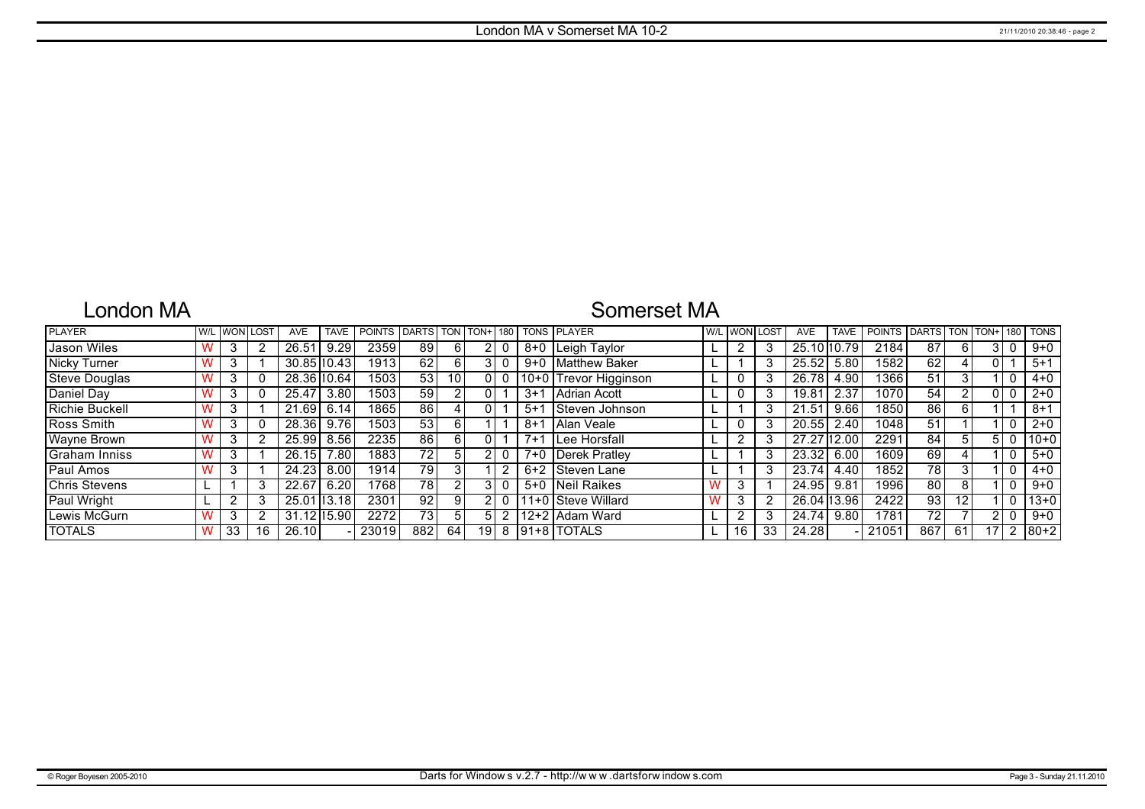## London MA

## Somerset MA

| <b>PLAYER</b>         | W/I |    | .OST | <b>AVE</b>      | <b>TAVE</b> | POINTS DARTS TON |                 |                 | $I$ TON+ $I$ 180 $I$ |   |         | <b>TONS PLAYER</b>    | W/L WON I | LOST | <b>AVE</b>  | <b>TAVE</b> | <b>POINTS</b> | <b>DARTS</b>    | <b>TON</b>      | TON+ | 180            | <b>TONS</b> |
|-----------------------|-----|----|------|-----------------|-------------|------------------|-----------------|-----------------|----------------------|---|---------|-----------------------|-----------|------|-------------|-------------|---------------|-----------------|-----------------|------|----------------|-------------|
| Jason Wiles           |     |    |      | 26.51           | 9.29        | 2359             | 89              | 61              |                      |   |         | 8+0   Leigh Taylor    |           | 3    | 25.10 10.79 |             | 2184          | 87              | 6               |      |                | $9+0$       |
| <b>Nicky Turner</b>   |     |    |      | 30.85 10.43     |             | 1913             | 62              | $6 \mid$        |                      |   |         | 9+0 Matthew Baker     |           | 3    | 25.52       | 5.80        | 1582          | 62              |                 |      |                | $5 + 1$     |
| <b>Steve Douglas</b>  |     |    |      | 28.36 10.64     |             | 1503             | 53              | 10 <sup>1</sup> |                      |   |         | 10+0 Trevor Higginson |           | 3    | 26.78       | 4.90        | 1366          | 51              | 3               |      |                | $4 + 0$     |
| Daniel Day            |     |    |      | 25.47           | 3.80        | 1503             | 59              |                 | 0                    |   | $3+1$   | <b>Adrian Acott</b>   |           | 3    | 19.81       | 2.37        | 1070          | 54              |                 |      |                | $2+0$       |
| <b>Richie Buckell</b> |     |    |      | 21.69           | 6.14        | 1865             | 86              |                 | 0                    |   | $5 + 1$ | Steven Johnson        |           | 3    | 21.51       | 9.66        | 1850          | 86              | 6               |      |                | $8 + 1$     |
| Ross Smith            |     |    |      | 28.36           | 9.76        | 1503             | 53              | 6 I             |                      |   | $8 + 1$ | Alan Veale            |           | 3    | 20.55       | 2.40        | 1048          | 51              |                 |      |                | $2+0$       |
| Wayne Brown           |     |    |      | 25.99           | 8.56        | 2235             | 86              | 6 I             | 0                    |   | $7 + 1$ | <b>ILee Horsfall</b>  |           | 3    | 27.27       | 12.00       | 2291          | 84              | 5               |      |                | $10+0$      |
| Graham Inniss         |     |    |      | 26.15           | 7.80        | 1883             | 72 <sub>1</sub> | 5               |                      |   |         | 7+0 Derek Pratley     |           | 3    | 23.32       | 6.00        | 1609          | 69              | 4               |      |                | $5 + 0$     |
| Paul Amos             |     |    |      | 24.23           | 8.00        | 1914             | 79              |                 |                      |   | $6+2$   | Steven Lane           |           | 3    | 23.74       | 4.40        | 1852          | 78              | 3               |      |                | $4 + 0$     |
| <b>Chris Stevens</b>  |     |    |      | 22.67           | 6.20        | 1768             | 78              |                 |                      |   |         | 5+0 Neil Raikes       | 3         |      | 24.95       | 9.81        | 1996          | 80              | 8               |      |                | $9+0$       |
| Paul Wright           |     |    |      | 25.01 13.18     |             | 2301             | 92 <sub>1</sub> | 9 <sup>1</sup>  |                      |   |         | 11+0 Steve Willard    | 3         | 2    | 26.04 13.96 |             | 2422          | 93              | 12 <sub>1</sub> |      |                | $13+0$      |
| Lewis McGurn          |     |    |      | $31.12$ $15.90$ |             | 2272             | 73 <sub>1</sub> | 51              | 5                    |   |         | 12+2 Adam Ward        | C         | 3    | 24.74       | 9.80        | 1781          | 72 <sub>1</sub> |                 |      |                | $9 + 0$     |
| <b>TOTALS</b>         |     | 33 | 16   | 26.10           |             | 23019            | 882             | 64              | 191                  | 8 |         | 191+8   TOTALS        | 16        | 33   | 24.28       |             | 21051         | 867             | -61             |      | $\overline{2}$ | $180 + 2$   |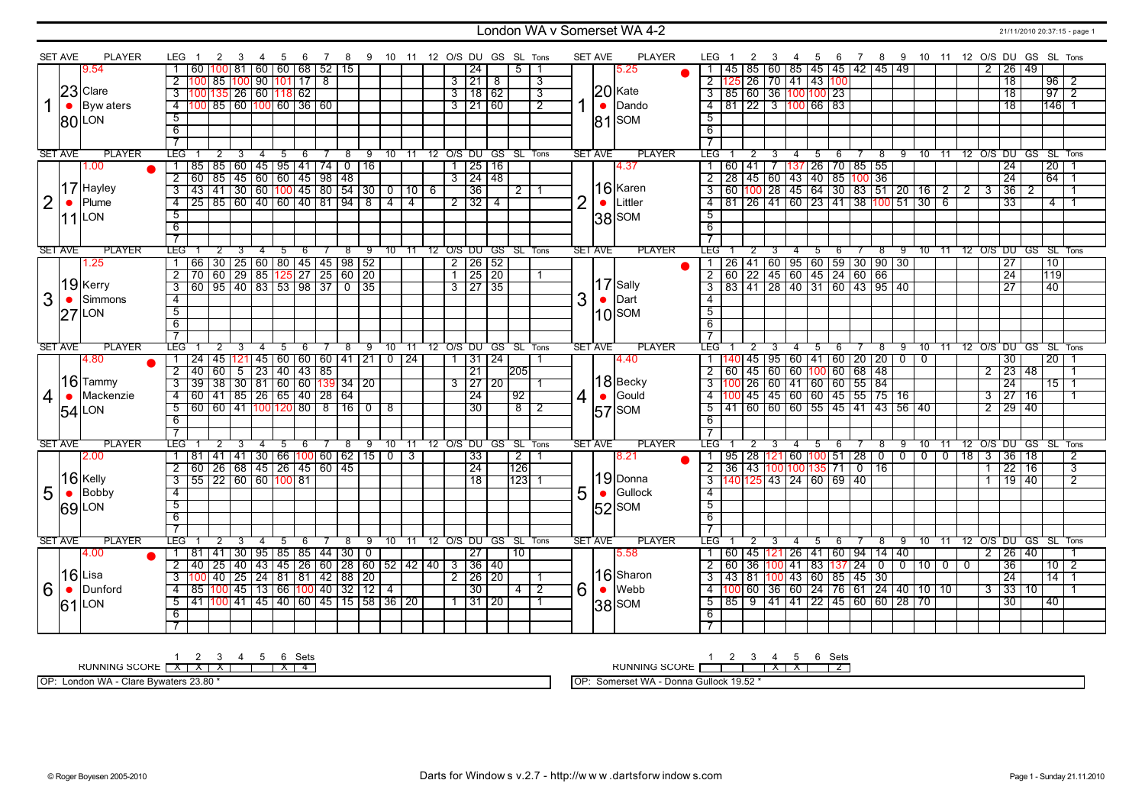### London WA v Somerset WA 4-2 21/11/2010 20:37:15 - page 1

|                | <b>SET AVE</b> | <b>PLAYER</b>    | LEG.                   | 2                                                                       | 3          | 4              | - 5 | 6                                   |            |                     | 7 8 9 10 11 12 O/S DU GS SL Tons |                |                |    |                      |                     |                      |                         |                | <b>SET AVE</b> | PLAYER           | LEG 1             | 2              | 3 |                | 4 5 | 6                                               |                |                          | 7 8 9 10 11 12 O/S DU GS SL Tons          |                |                  |           |                        |                      |                 |                |
|----------------|----------------|------------------|------------------------|-------------------------------------------------------------------------|------------|----------------|-----|-------------------------------------|------------|---------------------|----------------------------------|----------------|----------------|----|----------------------|---------------------|----------------------|-------------------------|----------------|----------------|------------------|-------------------|----------------|---|----------------|-----|-------------------------------------------------|----------------|--------------------------|-------------------------------------------|----------------|------------------|-----------|------------------------|----------------------|-----------------|----------------|
|                |                | 9.54             |                        | 60                                                                      |            |                |     | 100 81 60 60 68                     |            | 52 15               |                                  |                |                |    |                      | 24                  | 5                    |                         |                |                | 5.25             |                   |                |   |                |     | 1   45   85   60   85   45   45   42   45   49  |                |                          |                                           |                | 2                |           | 26 49                  |                      |                 |                |
|                |                |                  | $\overline{2}$         |                                                                         |            |                |     | <u>  85   100   90   101   17  </u> | $^{\circ}$ |                     |                                  |                |                |    |                      | 3 21 8              |                      | 3                       |                |                |                  |                   |                |   |                |     | 2 125 26 70 41 43 100                           |                |                          |                                           |                |                  |           | $\overline{18}$        |                      | $96$   2        |                |
|                |                | $23$ Clare       | $\overline{3}$         | 100 135 26 60 118 62                                                    |            |                |     |                                     |            |                     |                                  |                |                |    |                      | $3$ 18 62           |                      | $\overline{\mathbf{3}}$ |                |                |                  |                   |                |   |                |     | $\frac{3}{3}$ 85 60 36 100 100 23               |                |                          |                                           |                |                  |           | 18                     |                      | 97              | T2             |
|                | $\bullet$      | <b>Byw</b> aters | $\overline{4}$         | 100 85 60 100 60 36 60                                                  |            |                |     |                                     |            |                     |                                  |                |                |    |                      | $3$   21   60       |                      | $\overline{2}$          | 1              |                | 20 Kate<br>Dando |                   |                |   |                |     | 4 81 22 3 100 66 83                             |                |                          |                                           |                |                  |           | $\overline{18}$        |                      | $146$ 1         |                |
|                |                |                  | $\overline{5}$         |                                                                         |            |                |     |                                     |            |                     |                                  |                |                |    |                      |                     |                      |                         |                |                |                  | 5                 |                |   |                |     |                                                 |                |                          |                                           |                |                  |           |                        |                      |                 |                |
|                |                | <b>80 LON</b>    |                        |                                                                         |            |                |     |                                     |            |                     |                                  |                |                |    |                      |                     |                      |                         |                | 81             | SOM              |                   |                |   |                |     |                                                 |                |                          |                                           |                |                  |           |                        |                      |                 |                |
|                |                |                  | 6                      |                                                                         |            |                |     |                                     |            |                     |                                  |                |                |    |                      |                     |                      |                         |                |                |                  | 6                 |                |   |                |     |                                                 |                |                          |                                           |                |                  |           |                        |                      |                 |                |
|                |                |                  | $\overline{\tau}$      |                                                                         |            |                |     |                                     |            |                     |                                  |                |                |    |                      |                     |                      |                         |                |                |                  | $\overline{\tau}$ |                |   |                |     |                                                 |                |                          |                                           |                |                  |           |                        |                      |                 |                |
|                | <b>SET AVE</b> | <b>PLAYER</b>    | <b>LEG</b>             |                                                                         |            | $\overline{4}$ | 5   | 6                                   |            |                     | 9                                | 10             | 11             |    | 12 O/S DU GS SL Tons |                     |                      |                         |                | <b>SET AVE</b> | <b>PLAYER</b>    | LEG               |                |   |                | 5   | 6                                               | 8              | 9                        | 10                                        | $-11$          |                  |           |                        | 12 O/S DU GS SL Tons |                 |                |
|                |                | 00.1             |                        | 85 85 60 45 95 41 74 0 16                                               |            |                |     |                                     |            |                     |                                  |                |                |    |                      | $1$   25   16       |                      |                         |                |                | 4.37             | 1 60 41 7         |                |   |                |     | 137 26 70 85 55                                 |                |                          |                                           |                |                  |           | 24                     |                      | $\overline{20}$ |                |
|                |                |                  | $\overline{2}$         | 00 85 45 60 60 45 98 48<br>43 41 30 60 100 45 80 54 30 0 10 6           |            |                |     |                                     |            |                     |                                  |                |                |    |                      | $3 \mid 24 \mid 48$ |                      |                         |                |                |                  |                   |                |   |                |     | 2   28   45   60   43   40   85   100   36      |                |                          |                                           |                |                  |           | $\overline{24}$        |                      | $64$ 1          |                |
|                |                | 17 Hayley        | $\overline{3}$         |                                                                         |            |                |     |                                     |            |                     |                                  |                |                |    |                      | $\overline{36}$     | $\overline{2}$       |                         |                |                | 16 Karen         |                   |                |   |                |     |                                                 |                |                          | 3 60 100 28 145 64 30 83 51 20 16 2       |                | $\overline{2}$ 3 |           | $\overline{36}$        | $\overline{2}$       |                 |                |
| $\overline{2}$ | $\bullet$      | Plume            | $\overline{4}$         | $\overline{25}$ 85 60 40 60 40 81 94 8                                  |            |                |     |                                     |            |                     |                                  | $\overline{4}$ | $\overline{4}$ |    |                      | $2 \mid 32 \mid 4$  |                      |                         | $\overline{2}$ | $\bullet$      | Littler          |                   |                |   |                |     |                                                 |                |                          | <u>4 81 26 41 60 23 41 38 100 51 30 6</u> |                |                  |           | $\overline{33}$        |                      | $\overline{4}$  |                |
|                |                | $11$ LON         | $\overline{5}$         |                                                                         |            |                |     |                                     |            |                     |                                  |                |                |    |                      |                     |                      |                         |                |                | $ 38 $ SOM       | $\overline{5}$    |                |   |                |     |                                                 |                |                          |                                           |                |                  |           |                        |                      |                 |                |
|                |                |                  | $\overline{6}$         |                                                                         |            |                |     |                                     |            |                     |                                  |                |                |    |                      |                     |                      |                         |                |                |                  | 6                 |                |   |                |     |                                                 |                |                          |                                           |                |                  |           |                        |                      |                 |                |
|                |                |                  | $\overline{7}$         |                                                                         |            |                |     |                                     |            |                     |                                  |                |                |    |                      |                     |                      |                         |                |                |                  | $\overline{7}$    |                |   |                |     |                                                 |                |                          |                                           |                |                  |           |                        |                      |                 |                |
|                | <b>SET AVE</b> | <b>PLAYER</b>    | LEG.                   |                                                                         |            | 4              | -5  | -6                                  |            | 8                   | 9                                | 10             | 11             | 12 | O/S DU GS SL Tons    |                     |                      |                         |                | <b>SET AVE</b> | <b>PLAYER</b>    | LEG"              |                |   |                | 5   | 6                                               | $^8$           | -9                       |                                           | $10$ 11        |                  |           |                        | 12 O/S DU GS SL Tons |                 |                |
|                |                | 1.25             |                        | 66   30   25   60   80   45   45   98   52                              |            |                |     |                                     |            |                     |                                  |                |                |    | $2 \mid 26 \mid 52$  |                     |                      |                         |                |                |                  |                   |                |   |                |     | 1   26   41   60   95   60   59   30   90   30  |                |                          |                                           |                |                  |           | $\overline{27}$        |                      | $\overline{10}$ |                |
|                |                |                  | $\overline{2}$         |                                                                         |            |                |     |                                     |            |                     |                                  |                |                |    | $1$ 25 20            |                     |                      |                         |                |                |                  |                   |                |   |                |     | $2   60   22   45   60   45   24   60   66$     |                |                          |                                           |                |                  |           | $\overline{24}$        |                      | 119             |                |
|                |                | $ 19 $ Kerry     | $\overline{3}$         |                                                                         |            |                |     |                                     |            |                     |                                  |                |                |    |                      | $3 \mid 27 \mid 35$ |                      |                         |                |                | $17$ Sally       |                   |                |   |                |     | 3 83 41 28 40 31 60 43 95 40                    |                |                          |                                           |                |                  |           | $\overline{27}$        |                      | 40              |                |
| 3              |                | Simmons          | $\overline{4}$         |                                                                         |            |                |     |                                     |            |                     |                                  |                |                |    |                      |                     |                      |                         | 3              | $\bullet$      | Dart             | $\overline{4}$    |                |   |                |     |                                                 |                |                          |                                           |                |                  |           |                        |                      |                 |                |
|                | 27             | LON              | $\overline{5}$         |                                                                         |            |                |     |                                     |            |                     |                                  |                |                |    |                      |                     |                      |                         |                |                | $10$ SOM         | $\overline{5}$    |                |   |                |     |                                                 |                |                          |                                           |                |                  |           |                        |                      |                 |                |
|                |                |                  | $\overline{6}$         |                                                                         |            |                |     |                                     |            |                     |                                  |                |                |    |                      |                     |                      |                         |                |                |                  | $\overline{6}$    |                |   |                |     |                                                 |                |                          |                                           |                |                  |           |                        |                      |                 |                |
|                |                |                  | $\overline{\tau}$      |                                                                         |            |                |     |                                     |            |                     |                                  |                |                |    |                      |                     |                      |                         |                |                |                  |                   |                |   |                |     |                                                 |                |                          |                                           |                |                  |           |                        |                      |                 |                |
|                |                |                  |                        |                                                                         |            |                |     |                                     |            |                     |                                  |                |                |    |                      |                     |                      |                         |                | <b>SET AVE</b> |                  | LEG               |                |   |                | 5   |                                                 |                |                          |                                           |                |                  | 12 O/S DU |                        | GS SL Tons           |                 |                |
|                | <b>SET AVE</b> | <b>PLAYER</b>    | LEG.                   | 2                                                                       |            |                |     |                                     |            | 8                   | 9                                | 10 11          |                |    |                      |                     | 12 O/S DU GS SL Tons |                         |                |                | <b>PLAYER</b>    |                   |                |   |                |     | 6                                               | 8              | 9                        | 10                                        | - 11           |                  |           |                        |                      |                 |                |
|                |                | 4.80             | $\overline{1}$         | $\overline{24}$                                                         |            |                |     |                                     |            |                     |                                  |                |                |    |                      |                     |                      | $\overline{1}$          |                |                | 4.40             |                   |                |   |                |     |                                                 |                |                          | $\overline{0}$                            |                |                  |           | $\overline{30}$        |                      |                 |                |
|                |                |                  | $\overline{2}$         |                                                                         |            |                |     |                                     |            |                     | 45 121 45 60 60 60 41 21         | $0$   24       |                |    | $1 \mid 31 \mid 24$  |                     |                      |                         |                |                |                  |                   |                |   |                |     | 1   140   45   95   60   41   60   20   20   0  |                |                          |                                           |                | $\overline{2}$   |           |                        |                      | $\overline{20}$ |                |
|                |                | 16 Tammy         | $\overline{3}$         | 40 60                                                                   | $\sqrt{5}$ |                |     | $\frac{1}{23}$ 40 43 85             |            |                     |                                  |                |                |    |                      | $\overline{21}$     | 205                  |                         |                |                | $ 18 $ Becky     |                   |                |   |                |     | $2   60   45   60   60   100   60   68   48$    |                |                          |                                           |                |                  |           | 23 48                  |                      |                 |                |
|                | $\bullet$      | Mackenzie        | $\overline{4}$         | 39 38 30 81 60 60 139 34 20                                             |            |                |     |                                     |            |                     |                                  |                |                |    |                      | $3 \mid 27 \mid 20$ | 92                   |                         |                |                |                  |                   |                |   |                |     |                                                 |                |                          |                                           |                | $\overline{3}$   |           | 24<br>$\overline{27}$  | 16                   | $\frac{1}{5}$ 1 |                |
| $\overline{4}$ |                |                  |                        | 60   41   85   26   65   40   28   64                                   |            |                |     |                                     |            |                     |                                  |                |                |    |                      | 24                  |                      |                         | 4              | $\bullet$      | Gould            |                   |                |   |                |     | 4 100 45 45 60 60 45 55 75 16                   |                |                          |                                           |                |                  |           |                        |                      |                 |                |
|                |                | 54 LON           | 5                      | 60   60   41  100 120  80   8   16   0   8                              |            |                |     |                                     |            |                     |                                  |                |                |    |                      | 30                  | 8                    | 2                       |                |                | $ 57 $ SOM       |                   |                |   |                |     |                                                 |                |                          | 5 41 60 60 60 55 45 41 43 56 40           |                | $\overline{2}$   |           | $\frac{1}{29}$ 40      |                      |                 |                |
|                |                |                  | 6                      |                                                                         |            |                |     |                                     |            |                     |                                  |                |                |    |                      |                     |                      |                         |                |                |                  | 6                 |                |   |                |     |                                                 |                |                          |                                           |                |                  |           |                        |                      |                 |                |
|                |                | <b>PLAYER</b>    | $\overline{7}$         |                                                                         |            | 4              |     |                                     |            | 8                   |                                  |                |                |    |                      |                     |                      |                         |                |                |                  | $\overline{7}$    |                |   |                |     |                                                 |                |                          |                                           |                |                  |           |                        |                      |                 |                |
|                | <b>SET AVE</b> |                  | LEG<br>$\mathbf{1}$    | 2                                                                       |            |                |     |                                     |            |                     | 9                                |                | $10 \quad 11$  |    | 12 O/S DU GS SL Tons |                     |                      |                         |                | <b>SET AVE</b> | <b>PLAYER</b>    | LEG <sup>-</sup>  | 2              |   | 4              |     |                                                 | 8              | 9                        |                                           | $10 - 11$      |                  |           |                        | 12 O/S DU GS SL Tons |                 |                |
|                |                | 2.00             |                        | 81   41   41   30   66  100  60   62   15   0                           |            |                |     |                                     |            |                     |                                  |                | 3              |    |                      | 33                  | $\overline{2}$       |                         |                |                | 8.21             |                   |                |   |                |     | 1   95   28   121   60   100   51   28          | $\overline{0}$ | $\overline{\phantom{0}}$ | $\overline{0}$                            | $\overline{0}$ | $18$ 3           |           | 36                     | 18                   |                 | 2              |
|                |                |                  | $\overline{2}$         | 60   26   68   45   26   45   60   45                                   |            |                |     |                                     |            |                     |                                  |                |                |    |                      | 24                  | 126                  |                         |                |                |                  |                   |                |   |                |     | 2 36 43 100 100 135 71 0                        | <b>16</b>      |                          |                                           |                | $\overline{1}$   |           | 22                     | 16                   |                 | 3              |
|                |                | $16$ Kelly       | $\overline{3}$         | 55 22 60 60 100 81                                                      |            |                |     |                                     |            |                     |                                  |                |                |    |                      | 18                  | 123                  |                         |                |                | 19Donna          |                   |                |   |                |     | 3 140 125 43 24 60 69 40                        |                |                          |                                           |                |                  |           | 19 40                  |                      |                 | $\overline{2}$ |
| 5              | $\bullet$      | Bobby            | $\overline{4}$         |                                                                         |            |                |     |                                     |            |                     |                                  |                |                |    |                      |                     |                      |                         | 5              | $\bullet$      | Gullock          | 4                 |                |   |                |     |                                                 |                |                          |                                           |                |                  |           |                        |                      |                 |                |
|                |                | <b>69 LON</b>    | $5\overline{)}$        |                                                                         |            |                |     |                                     |            |                     |                                  |                |                |    |                      |                     |                      |                         |                |                | $ 52 $ SOM       | $5^{\circ}$       |                |   |                |     |                                                 |                |                          |                                           |                |                  |           |                        |                      |                 |                |
|                |                |                  | 6                      |                                                                         |            |                |     |                                     |            |                     |                                  |                |                |    |                      |                     |                      |                         |                |                |                  | 6                 |                |   |                |     |                                                 |                |                          |                                           |                |                  |           |                        |                      |                 |                |
|                |                |                  | 7                      |                                                                         |            |                |     |                                     |            |                     |                                  |                |                |    |                      |                     |                      |                         |                |                |                  |                   |                |   |                |     |                                                 |                |                          |                                           |                |                  |           |                        |                      |                 |                |
|                | <b>SET AVE</b> | <b>PLAYER</b>    | <b>LEG</b>             | $\overline{2}$                                                          | 3          | $\overline{4}$ | 5   | 6                                   |            | 8                   | 9                                | $10 \quad 11$  |                |    | 12 O/S DU GS SL Tons |                     |                      |                         |                | <b>SET AVE</b> | <b>PLAYER</b>    | LEG               | $\overline{2}$ |   | $\overline{4}$ | 5   | 6                                               | $^8$           | 9                        |                                           | $10 \quad 11$  |                  |           |                        | 12 O/S DU GS SL Tons |                 |                |
|                |                | 4.00             |                        | <b>41</b><br>1   81                                                     |            |                |     |                                     |            | 30 95 85 85 44 30 0 |                                  |                |                |    |                      | 27                  | 10                   |                         |                |                | 5.58             |                   |                |   |                |     | 1   60   45   121   26   41   60   94   14   40 |                |                          |                                           |                |                  |           | 2 26 40                |                      |                 |                |
|                |                |                  | $\overline{2}$         | 40   25   40   43   45   26   60   28   60   52   42   40   3   36   40 |            |                |     |                                     |            |                     |                                  |                |                |    |                      |                     |                      |                         |                |                |                  |                   |                |   |                |     | 2 60 36 100 41 83 137 24 0 0                    |                |                          | 10000                                     |                |                  |           | 36                     |                      | $10$   2        |                |
|                |                | 16 Lisa          | $\overline{3}$         | 100 40 25 24 81 81 42 88 20                                             |            |                |     |                                     |            |                     |                                  |                |                |    | $\frac{2}{2}$ 26 20  |                     |                      |                         |                |                | 16 Sharon        |                   |                |   |                |     | 3 43 81 100 43 60 85 45 30                      |                |                          |                                           |                |                  |           | 24                     |                      | 14              |                |
| 6              | $\bullet$      | Dunford          | $\overline{4}$         | 85  100  45   13   66  100  40   32   12    4                           |            |                |     |                                     |            |                     |                                  |                |                |    |                      | 30                  | $4$   2              |                         | 6              | $\bullet$      | <b>Webb</b>      |                   |                |   |                |     |                                                 |                |                          | 4 100 60 36 60 24 76 61 24 40 10 10       |                |                  |           | $3 \overline{3}$ 33 10 |                      |                 |                |
|                |                | $61$ LON         | $\overline{5}$         | 41 100 41 45 40 60 45 15 58 36 20                                       |            |                |     |                                     |            |                     |                                  |                |                |    |                      | 1 31 20             |                      |                         |                |                |                  |                   |                |   |                |     |                                                 |                |                          | 5 85 9 41 41 22 45 60 60 28 70            |                |                  |           | $\overline{30}$        |                      | 40              |                |
|                |                |                  | 6<br>$\overline{\tau}$ |                                                                         |            |                |     |                                     |            |                     |                                  |                |                |    |                      |                     |                      |                         |                |                | $ 38 $ SOM       | 6                 |                |   |                |     |                                                 |                |                          |                                           |                |                  |           |                        |                      |                 |                |

1 2 3 4 5 6 Sets<br>RUNNING SCORE <u>[X | X | X | X | 4</u>

OP: London WA - Clare Bywaters 23.80 \*

RUNNING SCORE 1 2 3 4 X 5 X 6 Sets 2

OP: Somerset WA - Donna Gullock 19.52 \*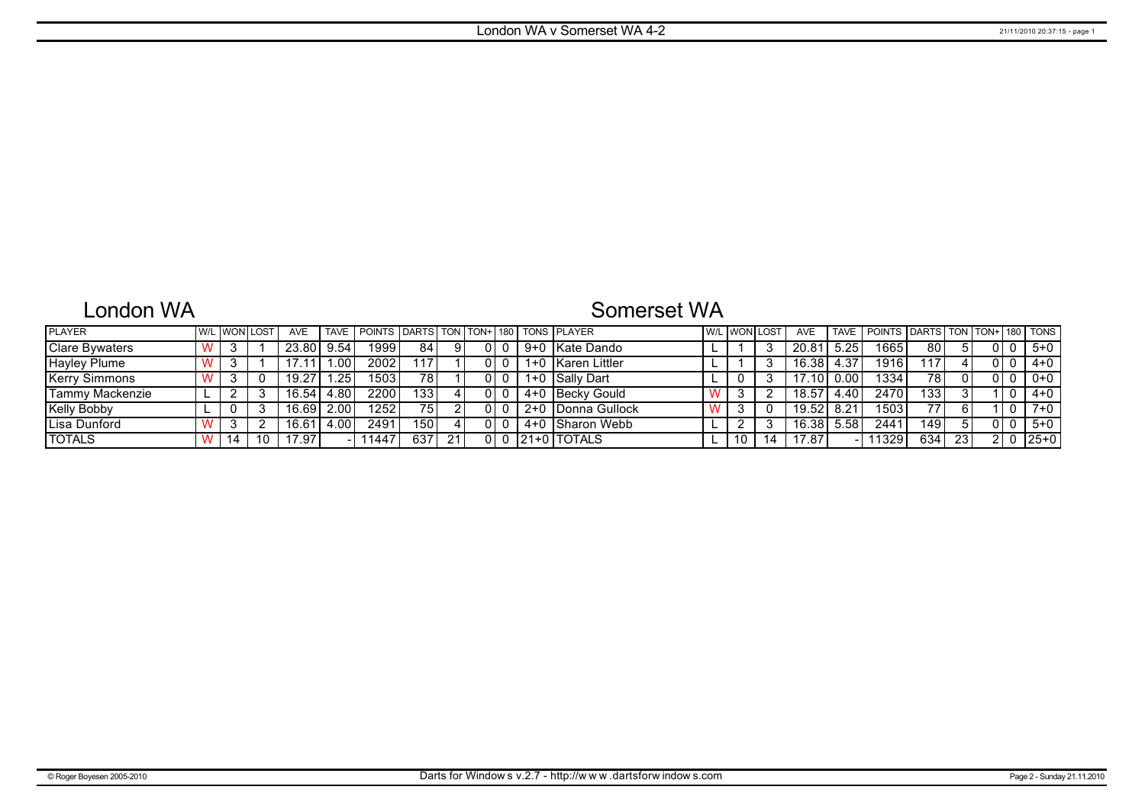# London WA

# Somerset WA

| <b>PLAYER</b>         |  | I W/L I WONI LOST | <b>AVE</b>     | <b>TAVE</b> | POINTS DARTS TON TON+ 180 TONS PLAYER |       |    |  |       |                   | <b>W/L WON LOST</b> |    | <b>AVE</b>         |      | TAVE   POINTS   DARTS   TON   TON+   180   TONS |       |    |  |           |
|-----------------------|--|-------------------|----------------|-------------|---------------------------------------|-------|----|--|-------|-------------------|---------------------|----|--------------------|------|-------------------------------------------------|-------|----|--|-----------|
| <b>Clare Bywaters</b> |  |                   | 23.80          | 9.54        | 1999                                  | 84    |    |  | $9+0$ | ∣Kate Dando       |                     |    | 20.81              | 5.25 | 1665                                            | 80    |    |  | $5 + 0$   |
| Hayley Plume          |  |                   | 17.11          | .00         | 2002                                  | 17    |    |  | $1+0$ | ∣Karen Littler    |                     |    | 16.38              | 4.37 | 1916                                            | 117   |    |  | $4 + 0$   |
| Kerry Simmons         |  |                   | 19.27          | .25         | 1503                                  | 781   |    |  |       | 1+0 Sally Dart    |                     |    | 7.10               |      | 1334                                            | 78    |    |  | $0+0$     |
| Tammy Mackenzie       |  |                   | 16.54          | 4.80        | 2200                                  | 133 l |    |  |       | 4+0   Becky Gould |                     |    | 18.57              | 4.40 | 2470                                            | 133   |    |  | $4 + 0$   |
| <b>Kelly Bobby</b>    |  |                   | 16.69          | 2.00        | 12521                                 | 75    |    |  |       | 2+0 Donna Gullock |                     | 0  | 19.52              | 8.21 | 1503                                            | 77    |    |  | $7+0$     |
| ILisa Dunford         |  |                   | $16.6^{\circ}$ | 4.00        | 2491                                  | 150 l |    |  | 4+0   | ⊟Sharon Webb      |                     |    | 16.38 <sub>1</sub> | 5.58 | 2441                                            | 149 I |    |  | $5+0$     |
| <b>TOTALS</b>         |  | 10                | 17.97          |             | 11447                                 | 637   | 21 |  |       | $ 21+0 $ TOTALS   | 10                  | 14 | '7.87              |      | 11329                                           | 634   | 23 |  | $125 + 0$ |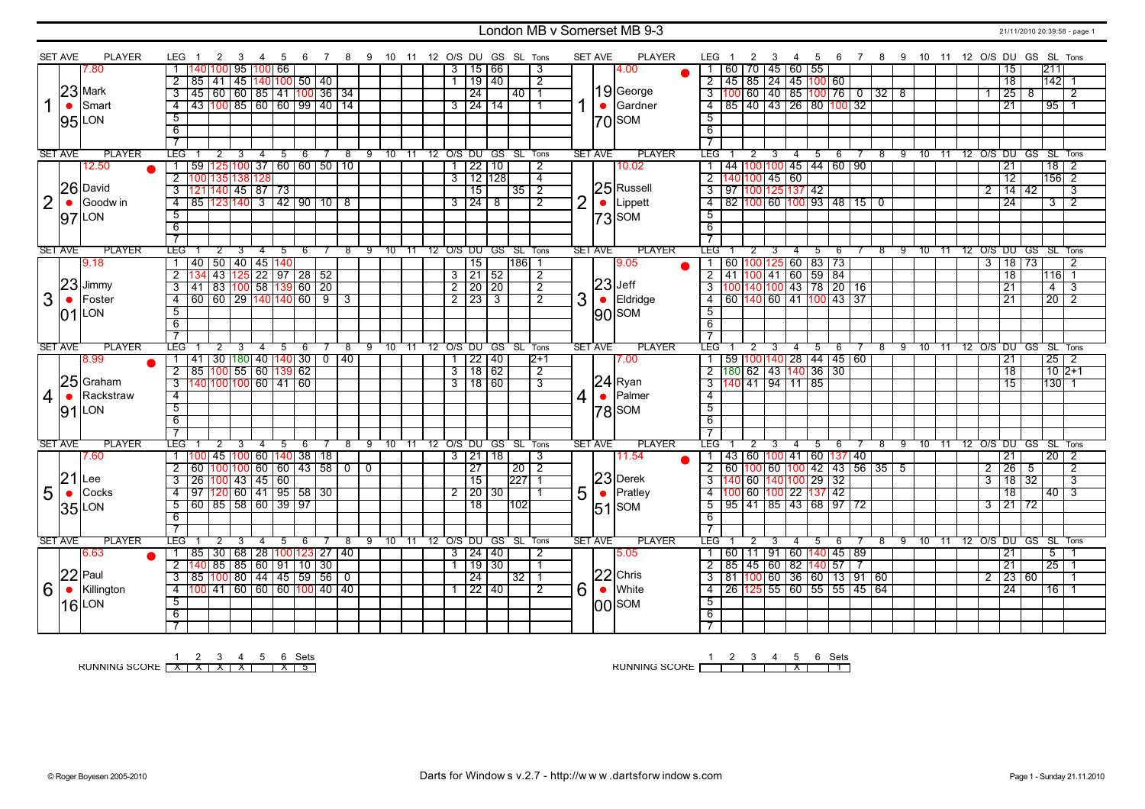### London MB v Somerset MB 9-3 21/11/2010 20:39:58 - page 1

|                | <b>SET AVE</b> | <b>PLAYER</b> | LEG 1               |                                                               |                |                                |                |             |   |     |   |            |                |          |       |  |                |                     |   | 2 3 4 5 6 7 8 9 10 11 12 O/S DU GS SL Tons |                | <b>SET AVE</b> |           | PLAYER        | LEG 1 2 3 4 5 6 7 8 9 10 11 12 O/S DU GS SL Tons |                   |                |                |   |                               |                                                              |    |   |    |                                |     |  |                |                                |                |     |                   |                         |
|----------------|----------------|---------------|---------------------|---------------------------------------------------------------|----------------|--------------------------------|----------------|-------------|---|-----|---|------------|----------------|----------|-------|--|----------------|---------------------|---|--------------------------------------------|----------------|----------------|-----------|---------------|--------------------------------------------------|-------------------|----------------|----------------|---|-------------------------------|--------------------------------------------------------------|----|---|----|--------------------------------|-----|--|----------------|--------------------------------|----------------|-----|-------------------|-------------------------|
|                |                | 7.80          |                     | 140 100  95  100  66                                          |                |                                |                |             |   |     |   |            |                |          |       |  | 3 I            | 15 66               |   |                                            | 3              |                |           | 4.00          |                                                  |                   |                |                |   | 1 60 70 45 60 55              |                                                              |    |   |    |                                |     |  |                | 15                             |                | 211 |                   |                         |
|                |                |               | $\overline{2}$      | 85   41                                                       |                | 45  140 100  50   40           |                |             |   |     |   |            |                |          |       |  | 1 I            | 19 40               |   |                                            | $\overline{2}$ |                |           |               |                                                  |                   |                |                |   |                               | 2   45   85   24   45   100   60                             |    |   |    |                                |     |  |                | $\overline{18}$                |                |     | 142 1             |                         |
|                |                | $23$ Mark     |                     | 3   45   60   60   85   41   100   36   34                    |                |                                |                |             |   |     |   |            |                |          |       |  |                | $\overline{24}$     |   | 40   1                                     |                |                |           | $19$ George   |                                                  |                   |                |                |   |                               | 3 100 60 40 85 100 76 0 32 8                                 |    |   |    |                                |     |  |                | 25                             | $\overline{8}$ |     |                   | $\overline{2}$          |
|                | $\bullet$      | Smart         |                     | 4 43 100 85 60 60 99 40 14                                    |                |                                |                |             |   |     |   |            |                |          |       |  |                | $3 \mid 24 \mid 14$ |   |                                            |                |                | $\bullet$ | Gardner       |                                                  |                   |                |                |   |                               | 4 85 40 43 26 80 100 32                                      |    |   |    |                                |     |  |                | 21                             |                |     | 9511              |                         |
|                |                |               |                     |                                                               |                |                                |                |             |   |     |   |            |                |          |       |  |                |                     |   |                                            | -1             |                |           |               |                                                  |                   |                |                |   |                               |                                                              |    |   |    |                                |     |  |                |                                |                |     |                   |                         |
|                |                | $95$ LON      | $\overline{5}$      |                                                               |                |                                |                |             |   |     |   |            |                |          |       |  |                |                     |   |                                            |                |                |           | $ 70 $ SOM    | $\overline{5}$                                   |                   |                |                |   |                               |                                                              |    |   |    |                                |     |  |                |                                |                |     |                   |                         |
|                |                |               | 6                   |                                                               |                |                                |                |             |   |     |   |            |                |          |       |  |                |                     |   |                                            |                |                |           |               | 6                                                |                   |                |                |   |                               |                                                              |    |   |    |                                |     |  |                |                                |                |     |                   |                         |
|                |                |               | $\overline{7}$      |                                                               |                |                                |                |             |   |     |   |            |                |          |       |  |                |                     |   |                                            |                |                |           |               |                                                  |                   |                |                |   |                               |                                                              |    |   |    |                                |     |  |                |                                |                |     |                   |                         |
|                | <b>SET AVE</b> | <b>PLAYER</b> | LEG                 |                                                               |                | 3                              | $-4$           |             |   | 5 6 | 7 | $^{\circ}$ |                | 9 10 11  |       |  |                |                     |   | 12 O/S DU GS SL Tons                       |                | <b>SET AVE</b> |           | <b>PLAYER</b> | LEG <sup>-</sup>                                 |                   | 2              | 3              |   | $4 \quad 5$                   | 6                                                            |    |   |    | 8 9 10 11 12 O/S DU GS SL Tons |     |  |                |                                |                |     |                   |                         |
|                |                | 12.50         | $\mathbf{1}$        | 59   125   100   37   60   60   50   10                       |                |                                |                |             |   |     |   |            |                |          |       |  | $\mathbf{1}$   | 22 10               |   |                                            | $\overline{2}$ |                |           | 10.02         |                                                  |                   |                |                |   |                               | 44   100   100   45   44   60   90                           |    |   |    |                                |     |  |                | 21                             |                |     | 18                | $\overline{2}$          |
|                |                |               |                     | 2 100 135 138 128                                             |                |                                |                |             |   |     |   |            |                |          |       |  | $\overline{3}$ | 12 128              |   |                                            | $\overline{4}$ |                |           |               |                                                  | $2$ 140 100 45 60 |                |                |   |                               |                                                              |    |   |    |                                |     |  |                | $\overline{12}$                |                |     | $156$ 2           |                         |
|                |                | 26 David      |                     | 3 121 140 45 87 73                                            |                |                                |                |             |   |     |   |            |                |          |       |  |                | $\overline{15}$     |   | $35$ $\overline{2}$                        |                |                |           | 25 Russell    |                                                  |                   |                |                |   | $3$ 97 100 125 137 42         |                                                              |    |   |    |                                |     |  |                | $2 \mid 14 \mid 42$            |                |     |                   | $\overline{3}$          |
| $\overline{2}$ |                | Goodw in      |                     | 4 85 123 140 3 42 90 10 8                                     |                |                                |                |             |   |     |   |            |                |          |       |  |                | $3 \mid 24 \mid$    | 8 |                                            | $\overline{2}$ | $\overline{2}$ | $\bullet$ | Lippett       |                                                  |                   |                |                |   |                               | $\overline{4}$ 82 100 60 100 93 48 15 0                      |    |   |    |                                |     |  |                | $\overline{24}$                |                |     | $\overline{3}$    | $\overline{2}$          |
|                | 97             | LON           | $\overline{5}$      |                                                               |                |                                |                |             |   |     |   |            |                |          |       |  |                |                     |   |                                            |                |                |           | $ 73 $ SOM    | $\overline{5}$                                   |                   |                |                |   |                               |                                                              |    |   |    |                                |     |  |                |                                |                |     |                   |                         |
|                |                |               | $\overline{6}$      |                                                               |                |                                |                |             |   |     |   |            |                |          |       |  |                |                     |   |                                            |                |                |           |               | $\overline{6}$                                   |                   |                |                |   |                               |                                                              |    |   |    |                                |     |  |                |                                |                |     |                   |                         |
|                |                |               |                     |                                                               |                |                                |                |             |   |     |   |            |                |          |       |  |                |                     |   |                                            |                |                |           |               |                                                  |                   |                |                |   |                               |                                                              |    |   |    |                                |     |  |                |                                |                |     |                   |                         |
|                | <b>SET AVE</b> | <b>PLAYER</b> | LEG <sup>-</sup>    |                                                               | $\overline{2}$ |                                |                |             | 5 | 6   |   |            | 9              | 10.      |       |  |                |                     |   | 12 O/S DU GS SL Tons                       |                | <b>SET AVE</b> |           | <b>PLAYER</b> | LEG"                                             |                   |                |                | 4 | 5                             | -6                                                           | -8 |   | -9 | 10                             | -11 |  |                | 12 O/S DU GS SL Tons           |                |     |                   |                         |
|                |                | 9.18          |                     | 1   40   50   40   45   140                                   |                |                                |                |             |   |     |   |            |                |          |       |  |                | 15                  |   | 186 1                                      |                |                |           | 9.05          |                                                  |                   |                |                |   |                               | 1 60 100 125 60 83 73                                        |    |   |    |                                |     |  | $\overline{3}$ | 18 73                          |                |     |                   | $\overline{2}$          |
|                |                |               | $\overline{2}$      |                                                               |                | 43 125 22 97 28 52             |                |             |   |     |   |            |                |          |       |  |                | $3$   21   52       |   |                                            | $\overline{2}$ |                |           |               |                                                  |                   |                |                |   |                               | $2$ 41 100 41 60 59 84                                       |    |   |    |                                |     |  |                | $\overline{18}$                |                |     | 116 1             |                         |
|                | 23             | Jimmy         |                     | $3 \mid 41 \mid 83 \mid 100 \mid 58 \mid 139 \mid 60 \mid 20$ |                |                                |                |             |   |     |   |            |                |          |       |  |                | $2$ 20 20           |   |                                            | $\overline{2}$ |                |           | $ 23 $ Jeff   |                                                  |                   |                |                |   |                               |                                                              |    |   |    |                                |     |  |                | $\overline{21}$                |                |     | $\overline{4}$    | $\overline{\mathbf{3}}$ |
| 3              | $\bullet$      | Foster        | $\overline{4}$      | 60   60   29  140 140  60   9   3                             |                |                                |                |             |   |     |   |            |                |          |       |  |                | $2$ 23 3            |   |                                            | $\overline{2}$ | 3              | $\bullet$ | Eldridge      |                                                  |                   |                |                |   |                               | 4 60 140 60 41 100 43 37                                     |    |   |    |                                |     |  |                | $\overline{21}$                |                |     | $\overline{20}$ 2 |                         |
|                |                | LON           | 5                   |                                                               |                |                                |                |             |   |     |   |            |                |          |       |  |                |                     |   |                                            |                |                |           |               | $\overline{5}$                                   |                   |                |                |   |                               |                                                              |    |   |    |                                |     |  |                |                                |                |     |                   |                         |
|                | 01             |               | 6                   |                                                               |                |                                |                |             |   |     |   |            |                |          |       |  |                |                     |   |                                            |                |                |           | $ 90 $ SOM    | 6                                                |                   |                |                |   |                               |                                                              |    |   |    |                                |     |  |                |                                |                |     |                   |                         |
|                |                |               | $\overline{7}$      |                                                               |                |                                |                |             |   |     |   |            |                |          |       |  |                |                     |   |                                            |                |                |           |               | $\overline{\tau}$                                |                   |                |                |   |                               |                                                              |    |   |    |                                |     |  |                |                                |                |     |                   |                         |
|                |                |               |                     |                                                               |                | $\overline{3}$                 | $\overline{4}$ | 5           |   | -6  |   | 8          |                | $9 - 10$ | $-11$ |  |                |                     |   | 12 O/S DU GS SL Tons                       |                | <b>SET AVE</b> |           | <b>PLAYER</b> | <b>LEG</b>                                       |                   | $\overline{2}$ | $\overline{3}$ |   | $4 \overline{5}$              | -6                                                           |    |   |    |                                |     |  |                | 8 9 10 11 12 O/S DU GS SL Tons |                |     |                   |                         |
|                |                |               |                     |                                                               |                |                                |                |             |   |     |   |            |                |          |       |  |                |                     |   |                                            |                |                |           |               |                                                  |                   |                |                |   |                               |                                                              |    |   |    |                                |     |  |                |                                |                |     |                   |                         |
|                | <b>SET AVE</b> | <b>PLAYER</b> | LEG <sup>'</sup>    |                                                               | $\overline{2}$ |                                |                |             |   |     |   |            |                |          |       |  |                |                     |   |                                            |                |                |           |               |                                                  |                   |                |                |   |                               |                                                              |    |   |    |                                |     |  |                |                                |                |     |                   |                         |
|                |                | 8.99          |                     | 1   41   30   180   40   140   30   0   40                    |                |                                |                |             |   |     |   |            |                |          |       |  |                | $1$   22   40       |   |                                            | 12+1           |                |           | 7.00          | $\overline{1}$                                   |                   |                |                |   |                               | 59 100 140 28 44 45 60                                       |    |   |    |                                |     |  |                | $\overline{21}$                |                |     | $25 \mid 2$       |                         |
|                |                |               |                     | $2$ 85 100 55 60 139 62                                       |                |                                |                |             |   |     |   |            |                |          |       |  |                | $3 \mid 18 \mid 62$ |   |                                            | $\overline{2}$ |                |           |               |                                                  |                   |                |                |   |                               | $2\left[180\right]62\left[43\right]140\left[36\right]30$     |    |   |    |                                |     |  |                | $\overline{18}$                |                |     | $10$ 2+1          |                         |
|                |                | $25$ Graham   |                     | $3  140 100 100 60  41 60$                                    |                |                                |                |             |   |     |   |            |                |          |       |  |                | 3118160             |   |                                            | $\overline{3}$ |                |           | $ 24 $ Ryan   |                                                  |                   |                |                |   | $3\overline{140}$ 41 94 11 85 |                                                              |    |   |    |                                |     |  |                | $\overline{15}$                |                |     | 130 1             |                         |
| 4              | $\bullet$      | Rackstraw     | $\overline{4}$      |                                                               |                |                                |                |             |   |     |   |            |                |          |       |  |                |                     |   |                                            |                | $\overline{4}$ | $\bullet$ | Palmer        | $\overline{4}$                                   |                   |                |                |   |                               |                                                              |    |   |    |                                |     |  |                |                                |                |     |                   |                         |
|                |                | $91$ LON      | 5                   |                                                               |                |                                |                |             |   |     |   |            |                |          |       |  |                |                     |   |                                            |                |                |           | $ 78 $ SOM    | $\overline{5}$                                   |                   |                |                |   |                               |                                                              |    |   |    |                                |     |  |                |                                |                |     |                   |                         |
|                |                |               | 6                   |                                                               |                |                                |                |             |   |     |   |            |                |          |       |  |                |                     |   |                                            |                |                |           |               | 6                                                |                   |                |                |   |                               |                                                              |    |   |    |                                |     |  |                |                                |                |     |                   |                         |
|                |                |               | $\overline{7}$      |                                                               |                |                                |                |             |   |     |   |            |                |          |       |  |                |                     |   |                                            |                |                |           |               |                                                  |                   |                |                |   |                               |                                                              |    |   |    |                                |     |  |                |                                |                |     |                   |                         |
|                | <b>SET AVE</b> | <b>PLAYER</b> | LEG <sup>"</sup>    |                                                               | $\overline{2}$ | 3                              | $\overline{4}$ |             | 5 | 6   |   | 8          | 9              | 10       | 11    |  |                |                     |   | 12 O/S DU GS SL Tons                       |                | <b>SET AVE</b> |           | <b>PLAYER</b> | LEG <sup>-</sup>                                 |                   | 2              | 3              | 4 | 5                             | 6                                                            |    | 8 | 9  | $10 \quad 11$                  |     |  |                | 12 O/S DU GS SL Tons           |                |     |                   |                         |
|                |                | 7.60          |                     | 1   100   45   100   60   140   38   18                       |                |                                |                |             |   |     |   |            |                |          |       |  |                | $3 \mid 21 \mid 18$ |   |                                            | 3              |                |           | 11.54         | 1 <sup>1</sup>                                   |                   |                |                |   |                               | 43   60   <mark>100</mark>   41   60   <mark>137</mark>   40 |    |   |    |                                |     |  |                | 21                             |                |     | $20 \mid 2$       |                         |
|                |                |               | $\overline{2}$      | 60   100   100   60   60   43   58   0                        |                |                                |                |             |   |     |   |            | $\overline{0}$ |          |       |  |                | 27                  |   | $20$   2                                   |                |                |           |               |                                                  |                   |                |                |   |                               | 2 60 100 60 100 42 43 56 35 5                                |    |   |    |                                |     |  | 2              | 26                             | -5             |     |                   | 2                       |
|                | 21             | Lee           | 3                   | 26                                                            |                | $100$ 43 45 60                 |                |             |   |     |   |            |                |          |       |  |                | 15                  |   | 227                                        | $\overline{1}$ |                |           | $23$ Derek    |                                                  |                   |                |                |   |                               | 3 140 60 140 100 29 32                                       |    |   |    |                                |     |  | 3              | 18 32                          |                |     |                   | 3                       |
| 5              | $\bullet$      | Cocks         | $\overline{4}$      | $\frac{1}{97}$ 120 60 41 95 58 30                             |                |                                |                |             |   |     |   |            |                |          |       |  | $\overline{2}$ | 20 30               |   |                                            | $\overline{1}$ | 5              | $\bullet$ | Pratley       |                                                  |                   |                |                |   |                               | 4 100 60 100 22 137 42                                       |    |   |    |                                |     |  |                | 18                             |                |     | $40 \mid 3$       |                         |
|                |                |               | 5                   | 60   85   58   60   39   97                                   |                |                                |                |             |   |     |   |            |                |          |       |  |                | 18                  |   | 102                                        |                |                |           |               |                                                  |                   |                |                |   |                               | $\overline{5}$   95   41   85   43   68   97   72            |    |   |    |                                |     |  | 3              | 121172                         |                |     |                   |                         |
|                |                | 35 LON        | -6                  |                                                               |                |                                |                |             |   |     |   |            |                |          |       |  |                |                     |   |                                            |                |                |           | $ 51 $ SOM    | 6                                                |                   |                |                |   |                               |                                                              |    |   |    |                                |     |  |                |                                |                |     |                   |                         |
|                |                |               |                     |                                                               |                |                                |                |             |   |     |   |            |                |          |       |  |                |                     |   |                                            |                |                |           |               |                                                  |                   |                |                |   |                               |                                                              |    |   |    |                                |     |  |                |                                |                |     |                   |                         |
|                | <b>SET AVE</b> | <b>PLAYER</b> | LEG                 |                                                               | $\overline{2}$ | 3                              |                | $4 \quad 5$ |   | 6   |   | 8          |                | 9 10 11  |       |  |                |                     |   | 12 O/S DU GS SL Tons                       |                | <b>SET AVE</b> |           | <b>PLAYER</b> | LEG                                              |                   | $\overline{2}$ | $_{3}$         |   | $4 \quad 5$                   | - 6                                                          |    |   |    | 8 9 10 11 12 O/S DU GS SL Tons |     |  |                |                                |                |     |                   |                         |
|                |                | 6.63          | 1 85                |                                                               |                |                                |                |             |   |     |   |            |                |          |       |  |                | $3 \mid 24 \mid 40$ |   |                                            | 2              |                |           | 5.05          |                                                  |                   |                |                |   |                               |                                                              |    |   |    |                                |     |  |                | 21                             |                |     | 5                 |                         |
|                |                |               |                     |                                                               |                | 30   68   28  100 123  27   40 |                |             |   |     |   |            |                |          |       |  | $\mathbf{1}$   | 19 30               |   |                                            | $\overline{1}$ |                |           |               | 2 <sub>1</sub>                                   |                   |                |                |   |                               | 1   60   11   91   60   140   45   89                        |    |   |    |                                |     |  |                | 21                             |                |     | 25                |                         |
|                |                |               |                     | $2$ 140 85 85 60 91 10 30                                     |                |                                |                |             |   |     |   |            |                |          |       |  |                | $\overline{24}$     |   | $32 \mid 1$                                |                |                |           | $ 22 $ Chris  |                                                  |                   |                |                |   |                               | 85   45   60   82   140   57     7                           |    |   |    |                                |     |  |                |                                |                |     |                   | $\mathbf 1$             |
|                |                | $22$ Paul     |                     | $3$ 85 100 80 44 45 59 56 0                                   |                |                                |                |             |   |     |   |            |                |          |       |  |                |                     |   |                                            | $\overline{2}$ |                |           |               |                                                  |                   |                |                |   |                               | $3   81   100   60   36   60   13   91   60$                 |    |   |    |                                |     |  |                | $2 \mid 23 \mid 60$<br>24      |                |     |                   |                         |
| 6              | $\bullet$      | Killington    |                     | 4 100 41 60 60 60 100 40 40                                   |                |                                |                |             |   |     |   |            |                |          |       |  |                | 1 22 40             |   |                                            |                | 6              | $\bullet$ | White         |                                                  |                   |                |                |   |                               | 4 26 125 55 60 55 55 45 64                                   |    |   |    |                                |     |  |                |                                |                |     | $16$   1          |                         |
|                |                | <b>16</b> LON | $\overline{5}$      |                                                               |                |                                |                |             |   |     |   |            |                |          |       |  |                |                     |   |                                            |                |                |           | $ 00 $ SOM    | $\overline{5}$                                   |                   |                |                |   |                               |                                                              |    |   |    |                                |     |  |                |                                |                |     |                   |                         |
|                |                |               | 6<br>$\overline{7}$ |                                                               |                |                                |                |             |   |     |   |            |                |          |       |  |                |                     |   |                                            |                |                |           |               | $\overline{6}$<br>$\overline{7}$                 |                   |                |                |   |                               |                                                              |    |   |    |                                |     |  |                |                                |                |     |                   |                         |

RUNNING SCORE 1 X 2 X 3 X 4 X 5 6 X Sets 5

RUNNING SCORE 1 2 3 4 5 X 6 Sets 1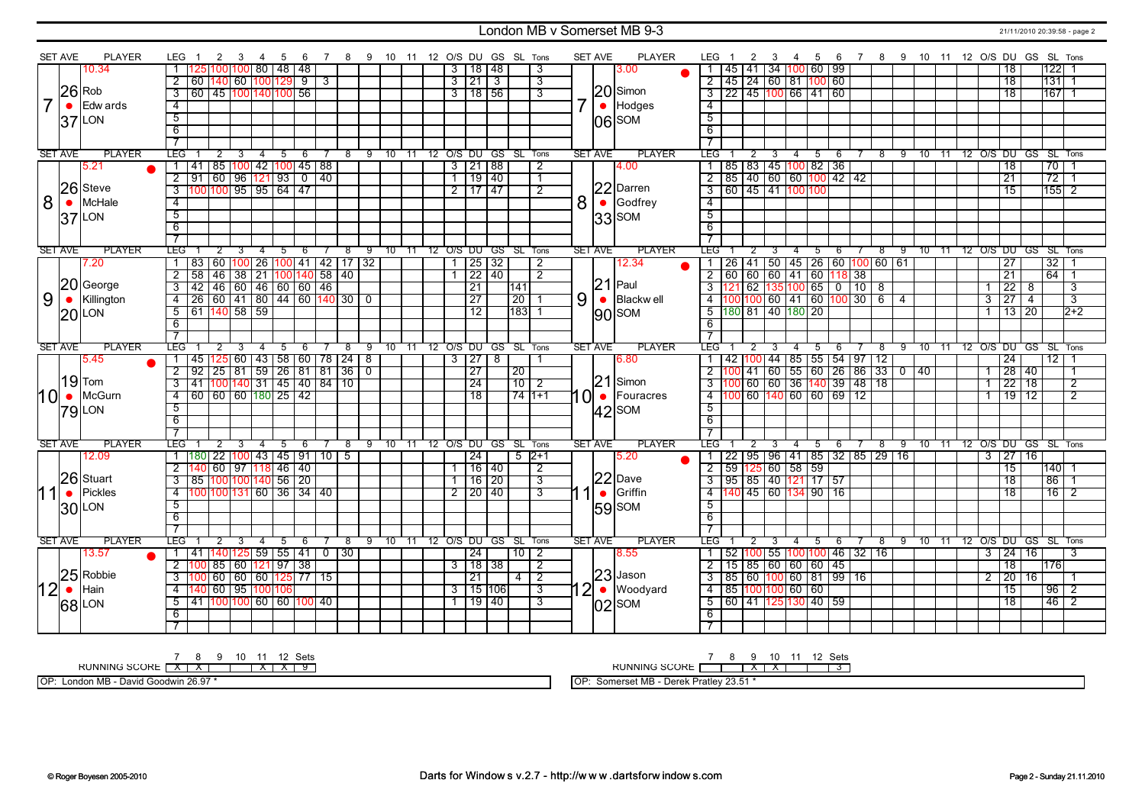#### London MB v Somerset MB 9-3 21/11/2010 20:39:58 - page 2

|                | <b>SET AVE</b> | <b>PLAYER</b>       | LEG 1                            | 2                         | 3 | 4              | 5 | 6                                  |     | 7                                                        |      |   |         |  |   |                           |       | 8 9 10 11 12 O/S DU GS SL Tons |                                 |                | <b>SET AVE</b> | <b>PLAYER</b>            | LEG <sub>1</sub><br>$\overline{2}$                        |                | 3<br>$\overline{4}$     | 5  | 6                                      |   |            |      |    |      |                |                     | 7 8 9 10 11 12 O/S DU GS SL Tons |                 |                           |  |
|----------------|----------------|---------------------|----------------------------------|---------------------------|---|----------------|---|------------------------------------|-----|----------------------------------------------------------|------|---|---------|--|---|---------------------------|-------|--------------------------------|---------------------------------|----------------|----------------|--------------------------|-----------------------------------------------------------|----------------|-------------------------|----|----------------------------------------|---|------------|------|----|------|----------------|---------------------|----------------------------------|-----------------|---------------------------|--|
|                |                | 10.34               |                                  |                           |   |                |   | 125 100 100  80   48   48          |     |                                                          |      |   |         |  |   | 3   18   48               |       |                                | 3                               |                |                | 3.00                     | $ 45\rangle$                                              |                |                         |    | 41   34   100   60   99                |   |            |      |    |      |                | 18                  |                                  | $122$   1       |                           |  |
|                |                |                     | $\overline{2}$                   | 60   140   60   100   129 |   |                |   |                                    | ्रु | $\overline{3}$                                           |      |   |         |  |   | 3 21 3                    |       |                                | 3                               |                |                |                          | $\overline{2}$<br>145 24 60 81 100 60                     |                |                         |    |                                        |   |            |      |    |      |                | <b>18</b>           |                                  | 1311            |                           |  |
|                |                | $26$ Rob            | $\overline{3}$                   |                           |   |                |   | 60 45 100 140 100 56               |     |                                                          |      |   |         |  |   | $3 \mid 18 \mid 56$       |       |                                | 3                               |                |                | $ 20 $ Simon             | <u>  22   45   100   66   41   60  </u><br>$\overline{3}$ |                |                         |    |                                        |   |            |      |    |      |                | 18                  |                                  | $167$ 1         |                           |  |
| $\overline{7}$ | $\bullet$      | Edw ards            | $\overline{4}$                   |                           |   |                |   |                                    |     |                                                          |      |   |         |  |   |                           |       |                                |                                 | 7 <sup>1</sup> |                | $\bullet$ Hodges         | $\overline{4}$                                            |                |                         |    |                                        |   |            |      |    |      |                |                     |                                  |                 |                           |  |
|                |                | $37$ LON            | $\overline{5}$                   |                           |   |                |   |                                    |     |                                                          |      |   |         |  |   |                           |       |                                |                                 |                |                | $ 06 $ <sub>SOM</sub>    | $\overline{5}$                                            |                |                         |    |                                        |   |            |      |    |      |                |                     |                                  |                 |                           |  |
|                |                |                     | $\overline{6}$                   |                           |   |                |   |                                    |     |                                                          |      |   |         |  |   |                           |       |                                |                                 |                |                |                          | 6                                                         |                |                         |    |                                        |   |            |      |    |      |                |                     |                                  |                 |                           |  |
|                |                |                     | $\overline{7}$                   |                           |   |                |   |                                    |     |                                                          |      |   |         |  |   |                           |       |                                |                                 |                |                |                          |                                                           |                |                         |    |                                        |   |            |      |    |      |                |                     |                                  |                 |                           |  |
|                | <b>SET AVE</b> | <b>PLAYER</b>       | <b>TEG</b>                       | $\overline{2}$            |   | $\overline{4}$ | 5 | $-6$                               |     | 7                                                        |      |   |         |  |   |                           |       | 8 9 10 11 12 O/S DU GS SL Tons |                                 |                | <b>SET AVE</b> | <b>PLAYER</b>            | <b>LEG</b>                                                | $\overline{2}$ | $\overline{\mathbf{3}}$ |    | $4 \quad 5 \quad 6$                    |   |            |      |    |      |                |                     | 7 8 9 10 11 12 O/S DU GS SL Tons |                 |                           |  |
|                |                | 5.21                |                                  |                           |   |                |   | 41   85   100   42   100   45   88 |     |                                                          |      |   |         |  |   | 3 21 88                   |       |                                | 2                               |                |                | 4.00                     | 1   85   83   45   100   82   36                          |                |                         |    |                                        |   |            |      |    |      |                | <b>18</b>           |                                  | 7011            |                           |  |
|                |                |                     | $\overline{2}$                   |                           |   |                |   | <u> 91 60 96 121 93 0 140 </u>     |     |                                                          |      |   |         |  |   | 1 19 40                   |       |                                | 7                               |                |                |                          | $2$ 85 40 60 60 100 42 42                                 |                |                         |    |                                        |   |            |      |    |      |                | $\overline{21}$     |                                  | $\overline{72}$ | $\overline{1}$            |  |
|                |                | 26 Steve            | $\overline{3}$                   |                           |   |                |   | 100 100 95 95 64 47                |     |                                                          |      |   |         |  |   | $2$ 117 47                |       |                                | $\overline{2}$                  |                |                | 22 Darren                |                                                           |                |                         |    |                                        |   |            |      |    |      |                | $\overline{15}$     |                                  | $155$ 2         |                           |  |
| 8              | $\bullet$      | McHale              | $\overline{4}$                   |                           |   |                |   |                                    |     |                                                          |      |   |         |  |   |                           |       |                                |                                 |                |                | $8\sqrt{ }$ Godfrey      | $\overline{4}$                                            |                |                         |    |                                        |   |            |      |    |      |                |                     |                                  |                 |                           |  |
|                |                | $37$ LON            | $\overline{5}$                   |                           |   |                |   |                                    |     |                                                          |      |   |         |  |   |                           |       |                                |                                 |                |                | $ 33 $ SOM               | $\overline{5}$                                            |                |                         |    |                                        |   |            |      |    |      |                |                     |                                  |                 |                           |  |
|                |                |                     | 6                                |                           |   |                |   |                                    |     |                                                          |      |   |         |  |   |                           |       |                                |                                 |                |                |                          | 6                                                         |                |                         |    |                                        |   |            |      |    |      |                |                     |                                  |                 |                           |  |
|                |                |                     | $\overline{7}$                   |                           |   |                |   |                                    |     |                                                          |      |   |         |  |   |                           |       |                                |                                 |                |                |                          |                                                           |                |                         |    |                                        |   |            |      |    |      |                |                     |                                  |                 |                           |  |
|                | <b>SET AVE</b> | <b>PLAYER</b>       | LEG.                             |                           |   |                | 5 | - 6                                |     |                                                          | - 8  |   |         |  |   |                           |       | 9 10 11 12 O/S DU GS SL Tons   |                                 |                | SET AVE        | <b>PLAYER</b>            | LEG .                                                     |                | 3<br>-4                 |    | 56                                     |   | -8         |      |    |      |                |                     | 9 10 11 12 O/S DU GS SL Tons     |                 |                           |  |
|                |                | 7.20                |                                  |                           |   |                |   |                                    |     | 83 60 100 26 100 41 42 17 32                             |      |   |         |  |   |                           | 25 32 |                                | $\overline{2}$                  |                |                | 12.34                    | $ 26\rangle$                                              |                |                         |    | 41   50   45   26   60   100   60   61 |   |            |      |    |      |                | $\overline{27}$     |                                  | $\overline{32}$ |                           |  |
|                |                |                     | $\overline{2}$                   |                           |   |                |   |                                    |     | 58 46 38 21 100 140 58 40                                |      |   |         |  |   | 1 22 40                   |       |                                | $\overline{2}$                  |                |                |                          | 2 60 60 60 41 60 118 38                                   |                |                         |    |                                        |   |            |      |    |      |                | $\overline{21}$     |                                  | 64              | $\overline{1}$            |  |
|                |                | 20 George           | $\overline{3}$                   |                           |   |                |   | 42 46 60 46 60 60 46               |     |                                                          |      |   |         |  |   | $\overline{21}$           |       | 141                            |                                 |                |                | $21$ Paul                | $\overline{121}$ 62 135 100 65 0 10 8<br>$\overline{3}$   |                |                         |    |                                        |   |            |      |    |      |                | $\overline{22}$     | 8                                |                 | $\overline{3}$            |  |
| 9              | $\bullet$      | Killington          | $\overline{4}$                   |                           |   |                |   |                                    |     | $\overline{26}$ 60 41 80 44 60 140 30 0                  |      |   |         |  |   | $\overline{27}$           |       | $\overline{20}$                |                                 | 9              | $\bullet$      | Blackw ell               | $4$  100 100 60   41   60   100   30   6                  |                |                         |    |                                        |   |            | $-4$ |    |      | $\overline{3}$ | 27                  | $\overline{4}$                   |                 | $\overline{\overline{3}}$ |  |
|                |                | $20$ LON            |                                  | $5$ 61 140 58 59          |   |                |   |                                    |     |                                                          |      |   |         |  |   | $\overline{12}$           |       | 11831                          |                                 |                |                | $ 90 $ SOM               | $5 \overline{180} 81 \overline{140} 180 \overline{20}$    |                |                         |    |                                        |   |            |      |    |      | $\mathbf{1}$   | 13 20               |                                  |                 | $2+2$                     |  |
|                |                |                     | 6                                |                           |   |                |   |                                    |     |                                                          |      |   |         |  |   |                           |       |                                |                                 |                |                |                          | $\overline{6}$                                            |                |                         |    |                                        |   |            |      |    |      |                |                     |                                  |                 |                           |  |
|                |                |                     | $\overline{7}$                   |                           |   |                |   |                                    |     |                                                          |      |   |         |  |   |                           |       |                                |                                 |                |                |                          | $\overline{7}$                                            |                |                         |    |                                        |   |            |      |    |      |                |                     |                                  |                 |                           |  |
|                | <b>SET AVE</b> | <b>PLAYER</b>       | <b>LEG</b>                       |                           |   |                | 5 | - 6                                |     |                                                          | -8   |   |         |  |   |                           |       | 9 10 11 12 O/S DU GS SL Tons   |                                 |                | <b>SET AVE</b> | <b>PLAYER</b>            | LEG <sup>-</sup>                                          |                | -4                      | -5 | - 6                                    |   | $^8$       | 9    |    |      |                |                     | 10 11 12 0/S DU GS SL Tons       |                 |                           |  |
|                |                | 5.45                |                                  |                           |   |                |   |                                    |     | 45   125   60   43   58   60   78   24   8               |      |   |         |  |   | 3 27 8<br>$\overline{27}$ |       |                                |                                 |                |                | 6.80                     | 42<br>100                                                 |                |                         |    | 44   85   55   54   97   12            |   |            |      |    |      |                | $\overline{24}$     |                                  | $12$   1        |                           |  |
|                |                | $19$ Tom            | $\overline{2}$<br>$\overline{3}$ |                           |   |                |   |                                    |     | $92$ 25 81 59 26 81 81 36 0<br>41 100 140 31 45 40 84 10 |      |   |         |  |   |                           |       | $\overline{20}$                |                                 |                | 21             | Simon                    | $2  100 41  60 55  60 26  86 33  040$                     |                |                         |    | 60 60 36 140 39 48 18                  |   |            |      |    |      |                | 28 40               |                                  |                 | $\overline{1}$            |  |
| $10$ $\bullet$ |                | <b>McGurn</b>       | 4                                |                           |   |                |   | 60 60 60 180 25 42                 |     |                                                          |      |   |         |  |   | $\overline{24}$<br>18     |       | 10 <sup>1</sup>                | $\overline{2}$<br>$74 \mid 1+1$ |                | 10I ∙          | <b>IFouracres</b>        | 3<br>4 100 60 140 60 60 69 12                             |                |                         |    |                                        |   |            |      |    |      | -1             | 22<br>$19$ 12       | $\overline{18}$                  |                 | $\overline{2}$<br>2       |  |
|                |                |                     | 5                                |                           |   |                |   |                                    |     |                                                          |      |   |         |  |   |                           |       |                                |                                 |                |                |                          | $\overline{5}$                                            |                |                         |    |                                        |   |            |      |    |      |                |                     |                                  |                 |                           |  |
|                |                | $79$ <sup>LON</sup> | 6                                |                           |   |                |   |                                    |     |                                                          |      |   |         |  |   |                           |       |                                |                                 |                |                | $ 42 $ SOM               | 6                                                         |                |                         |    |                                        |   |            |      |    |      |                |                     |                                  |                 |                           |  |
|                |                |                     | $\overline{7}$                   |                           |   |                |   |                                    |     |                                                          |      |   |         |  |   |                           |       |                                |                                 |                |                |                          |                                                           |                |                         |    |                                        |   |            |      |    |      |                |                     |                                  |                 |                           |  |
|                | <b>SET AVE</b> | <b>PLAYER</b>       | <b>LEG</b>                       |                           |   |                | 5 | -6                                 |     |                                                          | $^8$ |   | 9 10 11 |  |   | 12 0/S DU GS              |       |                                | SL Tons                         |                | <b>SET AVE</b> | <b>PLAYER</b>            | LEG <sup>-</sup>                                          |                | -4                      |    | $5 \t 6$                               | 7 | $^{\circ}$ |      |    |      |                |                     | 9 10 11 12 O/S DU GS SL Tons     |                 |                           |  |
|                |                | 12.09               |                                  |                           |   |                |   |                                    |     | 180 22 100 43 45 91 10 5                                 |      |   |         |  |   | 24                        |       |                                | $5 \; 12 + 1$                   |                |                | 15.20                    | $1 \overline{22}$                                         |                |                         |    | 95   96   41   85   32   85   29   16  |   |            |      |    |      |                | $3 \mid 27 \mid 16$ |                                  |                 |                           |  |
|                |                |                     | $\overline{2}$                   |                           |   |                |   | 140 60 97 118 46 40                |     |                                                          |      |   |         |  |   | 1 16 40                   |       |                                | 2                               |                |                |                          | $2$ 59 125 60 58 59                                       |                |                         |    |                                        |   |            |      |    |      |                | 15                  |                                  | 140  1          |                           |  |
|                |                | 26 Stuart           | $\overline{3}$                   |                           |   |                |   | 85 100 100 140 56 20               |     |                                                          |      |   |         |  |   | 1   16   20               |       |                                | 3                               |                |                | $22$ Dave                | $\frac{1}{3}$   95   85   40   121   17   57              |                |                         |    |                                        |   |            |      |    |      |                | 18                  |                                  | 861             | - 1                       |  |
| 111            | $\bullet$      | Pickles             | $\overline{4}$                   |                           |   |                |   | 100 100 131 60 36 34 40            |     |                                                          |      |   |         |  |   | 2 20 40                   |       |                                | 3                               |                | $1$ $\bullet$  | Griffin                  | 140 45 60 134 90 16<br>$\overline{4}$                     |                |                         |    |                                        |   |            |      |    |      |                | 18                  |                                  | $16$   2        |                           |  |
|                |                | 30 LON              | 5                                |                           |   |                |   |                                    |     |                                                          |      |   |         |  |   |                           |       |                                |                                 |                |                | <b>59</b> SOM            | 5                                                         |                |                         |    |                                        |   |            |      |    |      |                |                     |                                  |                 |                           |  |
|                |                |                     | 6                                |                           |   |                |   |                                    |     |                                                          |      |   |         |  |   |                           |       |                                |                                 |                |                |                          | 6                                                         |                |                         |    |                                        |   |            |      |    |      |                |                     |                                  |                 |                           |  |
|                |                |                     | $\overline{7}$                   |                           |   |                |   |                                    |     |                                                          |      |   |         |  |   |                           |       |                                |                                 |                |                |                          |                                                           |                |                         |    |                                        |   |            |      |    |      |                |                     |                                  |                 |                           |  |
|                | <b>SET AVE</b> | <b>PLAYER</b>       | LEG                              |                           |   |                | 5 | -6                                 |     |                                                          | 8    | 9 | 10 11   |  |   |                           |       | 12 O/S DU GS SL Tons           |                                 |                | <b>SET AVE</b> | <b>PLAYER</b>            | LEG                                                       |                | 4                       | 5  | -6                                     |   | 8          | 9    | 10 | - 11 |                |                     | 12 O/S DU GS SL Tons             |                 |                           |  |
|                |                | 13.57               |                                  |                           |   |                |   |                                    |     | 41   140   125   59   55   41   0   30                   |      |   |         |  |   | 24                        |       |                                | $10$   2                        |                |                | 8.55                     | 1   52   100   55   100   100   46   32   16              |                |                         |    |                                        |   |            |      |    |      | 3              | 24                  | 16                               |                 | 3                         |  |
|                |                |                     | $\overline{2}$                   |                           |   |                |   | 100 85 60 121 97 38                |     |                                                          |      |   |         |  | 3 |                           | 18 38 |                                | $\overline{2}$                  |                |                |                          | $15$ 85 60 60 60 45<br>$\overline{2}$                     |                |                         |    |                                        |   |            |      |    |      |                | 18                  |                                  | 176             |                           |  |
|                |                | $25$ Robbie         |                                  |                           |   |                |   | 3 100 60 60 60 125 77 15           |     |                                                          |      |   |         |  |   | 21                        |       | 4                              | $\overline{2}$                  |                |                | $ 23 $ Jason             | $3   85   60   100   60   81   99   16$                   |                |                         |    |                                        |   |            |      |    |      |                | $2$   20   16       |                                  |                 | -1                        |  |
|                | $12$ $\bullet$ | Hain                |                                  | 4 140 60 95 100 106       |   |                |   |                                    |     |                                                          |      |   |         |  |   | $3$ 15 106                |       |                                | 3                               |                |                | $ 2  \bullet  $ Woodyard | $4$ 85 100 100 60 60                                      |                |                         |    |                                        |   |            |      |    |      |                | 15                  |                                  | $96$   2        |                           |  |
|                |                | 68 LON              |                                  |                           |   |                |   | 5 41 100 100 60 60 100 40          |     |                                                          |      |   |         |  |   | 1 19 40                   |       |                                | 3                               |                |                | $ 02 $ SOM               | $\overline{5}$ 60 41 125 130 40 59                        |                |                         |    |                                        |   |            |      |    |      |                | $\overline{18}$     |                                  | 46              | $\overline{2}$            |  |
|                |                |                     | 6                                |                           |   |                |   |                                    |     |                                                          |      |   |         |  |   |                           |       |                                |                                 |                |                |                          | $\overline{6}$                                            |                |                         |    |                                        |   |            |      |    |      |                |                     |                                  |                 |                           |  |
|                |                |                     |                                  |                           |   |                |   |                                    |     |                                                          |      |   |         |  |   |                           |       |                                |                                 |                |                |                          |                                                           |                |                         |    |                                        |   |            |      |    |      |                |                     |                                  |                 |                           |  |
|                |                |                     |                                  |                           |   |                |   |                                    |     |                                                          |      |   |         |  |   |                           |       |                                |                                 |                |                |                          |                                                           |                |                         |    |                                        |   |            |      |    |      |                |                     |                                  |                 |                           |  |

RUNNING SCORE 7 X 8 X 9 10 11 X 12 X Sets 9

OP: London MB - David Goodwin 26.97 \*

RUNNING SCORE 7 8 9 X 10 X 11 12 Sets 3

OP: Somerset MB - Derek Pratley 23.51 \*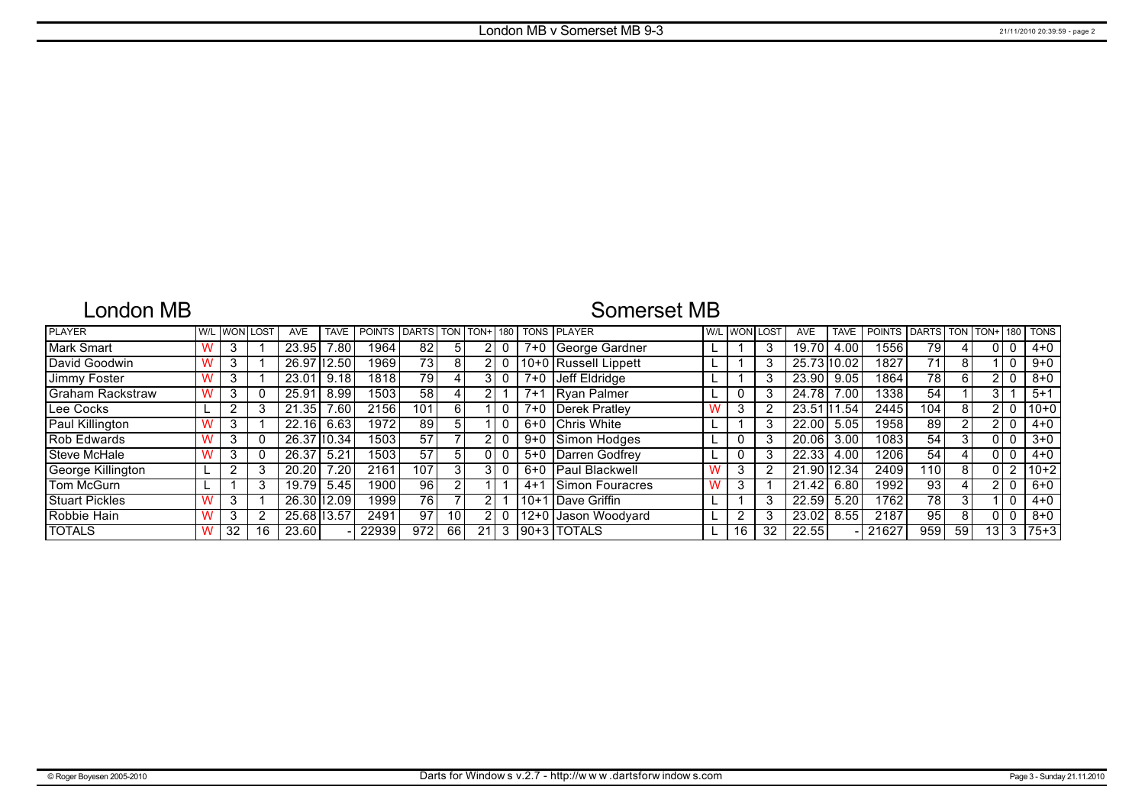## London MB

# Somerset MB

| <b>PLAYER</b>           | W/I |    | .OST | <b>AVE</b>  | <b>TAVE</b>    | POINTS DARTS TON |      |                 | $I$ TON+ $I$ 180 |         | <b>TONS PLAYER</b>     |   | W/L WON I | LOST | <b>AVE</b>  | <b>TAVE</b> | <b>POINTS</b> | <b>DARTS</b> | TON. | TON+            | 180            | <b>TONS</b> |
|-------------------------|-----|----|------|-------------|----------------|------------------|------|-----------------|------------------|---------|------------------------|---|-----------|------|-------------|-------------|---------------|--------------|------|-----------------|----------------|-------------|
| Mark Smart              |     |    |      | 23.95       | $^{\prime}.80$ | 1964             | 82   | 5               |                  |         | 7+0   George Gardner   |   |           | 3    | 19.70       | 4.00        | 1556          | 79           | 4    |                 |                | $4 + 0$     |
| David Goodwin           |     |    |      | 26.97       | $'$ 112.50     | 1969             | 731  | 8               |                  |         | 10+0 Russell Lippett   |   |           | 3    | 25.73 10.02 |             | 1827          | 71           | 8    |                 |                | $9 + 0$     |
| Jimmy Foster            |     |    |      | 23.01       | 9.18           | 1818             | 79   |                 |                  | 7+0     | Jeff Eldridge          |   |           | 3    | 23.90       | 9.05        | 1864          | 78           |      |                 |                | $8 + 0$     |
| <b>Graham Rackstraw</b> |     |    |      | 25.91       | 8.99           | 15031            | 58   |                 |                  | $7 + 1$ | <b>IRvan Palmer</b>    |   |           | 3    | 24.78       | 00.'        | 1338          | 54           |      |                 |                | $5+1$       |
| Lee Cocks               |     |    |      | 21.35       | $^{\prime}.60$ | 2156             | 101  | 6 I             |                  |         | 7+0 Derek Pratley      |   | 3         |      | 23.51       | .54<br> 11  | 2445          | 104          | 8    |                 |                | $10+0$      |
| Paul Killington         |     |    |      | 22.16       | 6.63           | 1972             | 89   | 5               |                  |         | 6+0 Chris White        |   |           | 3    | 22.00       | 5.05        | 1958          | 89           |      |                 |                | $4 + 0$     |
| <b>Rob Edwards</b>      |     |    |      | 26.37110.34 |                | 1503             | 57   |                 |                  |         | 9+0 Simon Hodges       |   |           | 3    | 20.06       | 3.00        | 1083          | 54           | 3    |                 |                | $3+0$       |
| Steve McHale            |     |    |      | 26.37       | $5.2^{\circ}$  | 1503             | 57   |                 | 01               |         | 5+0 Darren Godfrey     |   |           | 3    | 22.33       | 4.00        | 1206          | 54           | 4    |                 |                | $4 + 0$     |
| George Killington       |     |    |      | 20.20       | 7.20           | 2161             | 107  |                 |                  |         | 6+0 Paul Blackwell     |   | 3         | 2    | 21.90 12.34 |             | 2409          | 110.         | 8    |                 | $\overline{2}$ | $10+2$      |
| Tom McGurn              |     |    |      | 19.79       | 5.45           | 1900             | 96   |                 |                  | $4 + 1$ | <b>Simon Fouracres</b> | W | 3         |      | 21.42       | 6.80        | 1992          | 93           | 4    |                 |                | 6+0         |
| <b>Stuart Pickles</b>   |     |    |      | 26.30 12.09 |                | 1999             | 76   |                 | 2                | $10+1$  | Dave Griffin           |   |           | 3    | 22.59       | 5.20        | 1762          | 78           | 3    |                 |                | $4 + 0$     |
| Robbie Hain             |     |    |      | 25.68 13.57 |                | 2491             | 97   | 10 <sub>1</sub> | $\overline{2}$   | $12+0$  | Jason Woodyard         |   | ົ         | 3    | 23.02       | 8.55        | 2187          | 95           | 8    |                 |                | $8 + 0$     |
| <b>TOTALS</b>           |     | 32 | 16   | 23.60       |                | 22939            | 9721 | 66              | 21               |         | 190+3   TOTALS         |   | 16        | 32   | 22.55       |             | 21627         | 959          | 59   | 13 <sub>1</sub> | 3              | 75+3        |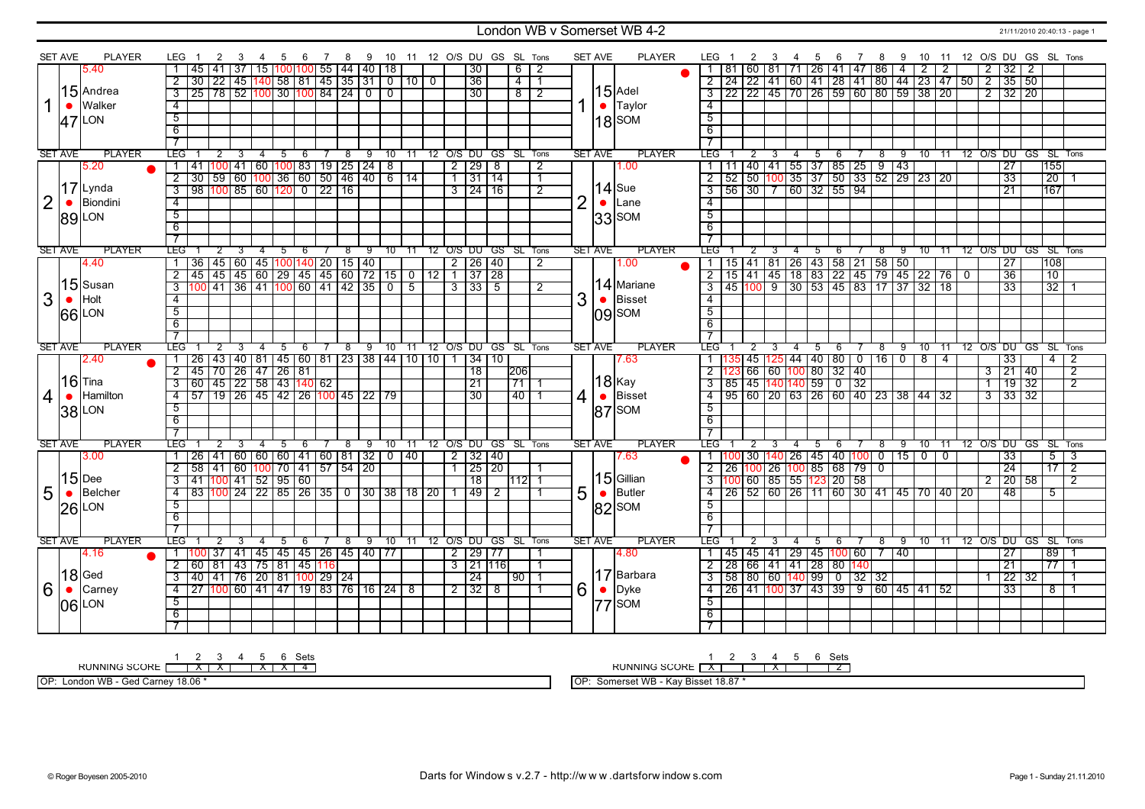### London WB v Somerset WB 4-2 21/11/2010 20:40:13 - page 1

|                | <b>SET AVE</b> | <b>PLAYER</b> | LEG 1                     | 2                                                        | 3 | -4             | -5                                                          | - 6 |     |     |                         |                | 7 8 9 10 11 12 O/S DU GS SL Tons               |                     |                |                                |                |                | SET AVE        | PLAYER         |                         | LEG 1<br>2                                                                                                                                   | 3 | - 4            | 5                                                | 6              |                          |             |     |                |                |           |                     | 7 8 9 10 11 12 O/S DU GS SL Tons |                 |                |
|----------------|----------------|---------------|---------------------------|----------------------------------------------------------|---|----------------|-------------------------------------------------------------|-----|-----|-----|-------------------------|----------------|------------------------------------------------|---------------------|----------------|--------------------------------|----------------|----------------|----------------|----------------|-------------------------|----------------------------------------------------------------------------------------------------------------------------------------------|---|----------------|--------------------------------------------------|----------------|--------------------------|-------------|-----|----------------|----------------|-----------|---------------------|----------------------------------|-----------------|----------------|
|                |                | 5.40          |                           | 45   41   37   15   100   100   55   44   40   18        |   |                |                                                             |     |     |     |                         |                |                                                | 30                  |                | $6 \mid 2$                     |                |                |                |                |                         | 81   60   81   71   26   41   47   86   4                                                                                                    |   |                |                                                  |                |                          |             |     | $\sqrt{2}$     | $\overline{2}$ |           | $2 \mid 32 \mid 2$  |                                  |                 |                |
|                |                |               | $\overline{2}$            | 30   22   45   140   58   81   45   35   31   0   10   0 |   |                |                                                             |     |     |     |                         |                |                                                | 36                  |                | $-4$ 1                         |                |                |                |                |                         | 2 24 22 41 60 41 28 41 80 44 23 47 50 2 35 50                                                                                                |   |                |                                                  |                |                          |             |     |                |                |           |                     |                                  |                 |                |
|                |                | $15$ Andrea   | $\overline{3}$            | 25   78   52  100  30  100  84   24   0   0              |   |                |                                                             |     |     |     |                         |                |                                                | 30                  |                | $8$ 2                          |                |                |                | $ 15 $ Adel    |                         | 3 22 22 45 70 26 59 60 80 59 38 20                                                                                                           |   |                |                                                  |                |                          |             |     |                |                |           | $2 \mid 32 \mid 20$ |                                  |                 |                |
|                | $\bullet$      | Walker        | $-4$                      |                                                          |   |                |                                                             |     |     |     |                         |                |                                                |                     |                |                                |                |                | $\bullet$      | Taylor         | $\overline{4}$          |                                                                                                                                              |   |                |                                                  |                |                          |             |     |                |                |           |                     |                                  |                 |                |
|                |                |               | $\overline{5}$            |                                                          |   |                |                                                             |     |     |     |                         |                |                                                |                     |                |                                |                |                |                |                | $\overline{5}$          |                                                                                                                                              |   |                |                                                  |                |                          |             |     |                |                |           |                     |                                  |                 |                |
|                | 47             | <b>LON</b>    |                           |                                                          |   |                |                                                             |     |     |     |                         |                |                                                |                     |                |                                |                |                |                | $18$ SOM       |                         |                                                                                                                                              |   |                |                                                  |                |                          |             |     |                |                |           |                     |                                  |                 |                |
|                |                |               | 6                         |                                                          |   |                |                                                             |     |     |     |                         |                |                                                |                     |                |                                |                |                |                |                | 6                       |                                                                                                                                              |   |                |                                                  |                |                          |             |     |                |                |           |                     |                                  |                 |                |
|                |                |               | $\overline{\phantom{a}}$  |                                                          |   |                |                                                             |     |     |     |                         |                |                                                |                     |                |                                |                |                |                |                | $\overline{7}$          |                                                                                                                                              |   |                |                                                  |                |                          |             |     |                |                |           |                     |                                  |                 |                |
|                | <b>SET AVE</b> | <b>PLAYER</b> | <b>LEG</b>                | 2                                                        | 3 | $\overline{4}$ | 5                                                           | - 6 | -8  | 9   | 10                      |                | 11 12 O/S DU GS SL Tons                        |                     |                |                                |                |                | <b>SET AVE</b> | <b>PLAYER</b>  | LEG I                   | 2                                                                                                                                            | 3 | $\overline{4}$ | 56                                               |                | 7                        | 8           | 9   |                |                |           |                     | 10 11 12 0/S DU GS SL Tons       |                 |                |
|                |                | 5.20          | $\mathbf{1}$              | 41                                                       |   |                | 100 41 60 100 83 19 25 24 8                                 |     |     |     |                         |                | $\overline{2}$                                 | $\overline{29}$     | $\overline{8}$ |                                | $\overline{2}$ |                |                | 1.00           | $\mathbf{1}$            |                                                                                                                                              |   |                | 40 41 55 37 85 25 9 43                           |                |                          |             |     |                |                |           | $\overline{27}$     | 155                              |                 |                |
|                |                |               | $\overline{2}$            | 30 59 60 100 36 60 50 46 40 6 14                         |   |                |                                                             |     |     |     |                         |                |                                                | 1 31 14             |                |                                | $\overline{1}$ |                |                |                | $\overline{2}$          | $\overline{52}$                                                                                                                              |   |                | 50   100   35   37   50   33   52   29   23   20 |                |                          |             |     |                |                |           | $\overline{33}$     |                                  | $\overline{20}$ |                |
|                |                | $17$ Lynda    | $\overline{\overline{3}}$ | 98 100 85 60 120 0 22 16                                 |   |                |                                                             |     |     |     |                         |                |                                                | $3 \mid 24 \mid 16$ |                |                                | $\overline{2}$ |                |                | $14$ Sue       | $\overline{\mathbf{3}}$ | $\frac{1}{56}$ 30 $\frac{7}{60}$ 32 55 94                                                                                                    |   |                |                                                  |                |                          |             |     |                |                |           | $\overline{21}$     | 167                              |                 |                |
| $\overline{2}$ |                | Biondini      | $\overline{4}$            |                                                          |   |                |                                                             |     |     |     |                         |                |                                                |                     |                |                                |                | $\overline{2}$ | $\bullet$      | Lane           | $\overline{4}$          |                                                                                                                                              |   |                |                                                  |                |                          |             |     |                |                |           |                     |                                  |                 |                |
|                |                | <b>89 LON</b> | $\overline{5}$            |                                                          |   |                |                                                             |     |     |     |                         |                |                                                |                     |                |                                |                |                |                | $ 33 $ SOM     | $\overline{5}$          |                                                                                                                                              |   |                |                                                  |                |                          |             |     |                |                |           |                     |                                  |                 |                |
|                |                |               | $\overline{6}$            |                                                          |   |                |                                                             |     |     |     |                         |                |                                                |                     |                |                                |                |                |                |                | $\overline{6}$          |                                                                                                                                              |   |                |                                                  |                |                          |             |     |                |                |           |                     |                                  |                 |                |
|                |                |               | $\overline{\tau}$         |                                                          |   |                |                                                             |     |     |     |                         |                |                                                |                     |                |                                |                |                |                |                | $\overline{\tau}$       |                                                                                                                                              |   |                |                                                  |                |                          |             |     |                |                |           |                     |                                  |                 |                |
|                | <b>SET AVE</b> | <b>PLAYER</b> | <b>LEG</b>                | 2                                                        | 3 | $\overline{4}$ | 5                                                           | 6   | 8   | ු ඉ | $10^{-}$                | 11             | 12 O/S DU GS SL Tons                           |                     |                |                                |                |                | <b>SET AVE</b> | <b>PLAYER</b>  | TEG.                    |                                                                                                                                              |   | 4              | $5\overline{)}$                                  | -6             |                          | $^8$        | - 9 | $10$ $11$      |                |           |                     | 12 O/S DU GS SL Tons             |                 |                |
|                |                | 4.40          | $\overline{1}$            |                                                          |   |                |                                                             |     |     |     |                         |                |                                                | $2 \mid 26 \mid 40$ |                |                                | 2              |                |                | 1.00           |                         |                                                                                                                                              |   |                |                                                  |                |                          |             |     |                |                |           | $\overline{27}$     | 108                              |                 |                |
|                |                |               | $\overline{2}$            |                                                          |   |                |                                                             |     |     |     |                         |                | $7$ 37 28                                      |                     |                |                                |                |                |                |                |                         | 1   15   41   81   26   43   58   21   58   50                              <br>2   15   41   45   18   83   22   45   79   45   22   76   0 |   |                |                                                  |                |                          |             |     |                |                |           | 36                  |                                  | $\overline{10}$ |                |
|                |                | 15 Susan      | $\overline{\overline{3}}$ | 100 41 36 41 100 60 41 42 35 1                           |   |                |                                                             |     |     |     | $\overline{\mathbf{0}}$ | $\overline{5}$ | $3 \mid 33 \mid 5$                             |                     |                |                                | $\overline{2}$ |                |                | 14 Mariane     |                         | 3 45 100 9 30 53 45 83 17 37 32 18                                                                                                           |   |                |                                                  |                |                          |             |     |                |                |           | $\overline{33}$     |                                  | $\overline{32}$ |                |
| 3              |                | Holt          | $\overline{4}$            |                                                          |   |                |                                                             |     |     |     |                         |                |                                                |                     |                |                                |                | 3              |                | <b>Bisset</b>  | $\overline{4}$          |                                                                                                                                              |   |                |                                                  |                |                          |             |     |                |                |           |                     |                                  |                 |                |
|                |                |               | $\overline{5}$            |                                                          |   |                |                                                             |     |     |     |                         |                |                                                |                     |                |                                |                |                |                |                | $\overline{5}$          |                                                                                                                                              |   |                |                                                  |                |                          |             |     |                |                |           |                     |                                  |                 |                |
|                |                | 66 LON        | 6                         |                                                          |   |                |                                                             |     |     |     |                         |                |                                                |                     |                |                                |                |                |                | $ 09 $ SOM     | $\overline{6}$          |                                                                                                                                              |   |                |                                                  |                |                          |             |     |                |                |           |                     |                                  |                 |                |
|                |                |               | $\overline{\tau}$         |                                                          |   |                |                                                             |     |     |     |                         |                |                                                |                     |                |                                |                |                |                |                |                         |                                                                                                                                              |   |                |                                                  |                |                          |             |     |                |                |           |                     |                                  |                 |                |
|                | <b>SET AVE</b> | <b>PLAYER</b> | LEG <sup>-</sup>          |                                                          |   |                |                                                             |     |     |     |                         |                |                                                |                     |                |                                |                |                | <b>SET AVE</b> | <b>PLAYER</b>  | LEG I                   |                                                                                                                                              |   |                |                                                  |                |                          |             |     |                |                |           |                     |                                  |                 |                |
|                |                |               |                           | $\overline{26}$                                          |   |                | 5<br>  43   40   81   45   60   81   23   38   44   10   10 | 6   | - 8 |     |                         |                | 9 10 11 12 O/S DU GS SL Tons<br>$\overline{1}$ |                     |                |                                |                |                |                |                |                         |                                                                                                                                              |   | 4              | -5                                               | -6             | $\overline{\phantom{0}}$ | 8<br>$16$ 0 | - 9 |                |                |           |                     | 10 11 12 O/S DU GS SL Tons       |                 |                |
|                |                | 2.40          |                           |                                                          |   |                |                                                             |     |     |     |                         |                |                                                | 34 10               |                |                                |                |                |                | 7.63           |                         |                                                                                                                                              |   |                | 45 125 44 40 80                                  |                |                          |             |     | $\overline{8}$ | $\overline{4}$ |           | 33                  |                                  | 4               | $\overline{2}$ |
|                |                | $16$ Tina     | $\overline{2}$            | 45                                                       |   |                | 70 26 47 26 81                                              |     |     |     |                         |                |                                                | $\overline{18}$     |                | 206                            |                |                |                | 18 Kay         |                         |                                                                                                                                              |   |                | 66 60 100 80 32 40                               |                |                          |             |     |                |                |           | $3 \mid 21 \mid 40$ |                                  |                 | $\overline{2}$ |
|                |                |               | $\overline{a}$            | 60   45   22   58   43   140   62                        |   |                |                                                             |     |     |     |                         |                |                                                | $\overline{21}$     |                | $\frac{1}{1}$ 71 $\frac{1}{1}$ |                |                |                |                |                         | 3   85   45   140   140   59   0   32                                                                                                        |   |                |                                                  |                |                          |             |     |                |                |           | $1 \mid 19 \mid 32$ |                                  |                 | $\overline{2}$ |
| 4              |                | Hamilton      | $\overline{4}$            | 57                                                       |   |                | 19 26 45 42 26 100 45 22 79                                 |     |     |     |                         |                |                                                | 30                  |                | 140 11                         |                | 4              | $\bullet$      | Bisset         | $\overline{4}$          | 95   60   20   63   26   60   40   23   38   44   32                                                                                         |   |                |                                                  |                |                          |             |     |                |                |           |                     |                                  |                 |                |
|                | 38             | LON           | 5                         |                                                          |   |                |                                                             |     |     |     |                         |                |                                                |                     |                |                                |                |                |                | $ 87 $ SOM     | 5                       |                                                                                                                                              |   |                |                                                  |                |                          |             |     |                |                |           |                     |                                  |                 |                |
|                |                |               | 6                         |                                                          |   |                |                                                             |     |     |     |                         |                |                                                |                     |                |                                |                |                |                |                | 6                       |                                                                                                                                              |   |                |                                                  |                |                          |             |     |                |                |           |                     |                                  |                 |                |
|                |                |               | $\overline{7}$            |                                                          |   |                |                                                             |     |     |     |                         |                |                                                |                     |                |                                |                |                |                |                | $\overline{7}$          |                                                                                                                                              |   |                |                                                  |                |                          |             |     |                |                |           |                     |                                  |                 |                |
|                | <b>SET AVE</b> | <b>PLAYER</b> | LEG <sup>-</sup>          |                                                          |   |                | 5                                                           | 6   | 8   | 9   | 10                      | $-11$          | 12 O/S DU GS SL Tons                           |                     |                |                                |                |                | <b>SET AVE</b> | <b>PLAYER</b>  | LEG <sup>-</sup>        |                                                                                                                                              |   | 4              | 5                                                | 6              |                          | 8           | 9   | $10 \quad 11$  |                | 12 O/S DU |                     | GS SL Tons                       |                 |                |
|                |                | 3.00          |                           | 26   41   60   60   60   41   60   81   32   0   40      |   |                |                                                             |     |     |     |                         |                | 2   32   40                                    |                     |                |                                |                |                |                | 7.63           |                         | 1  100   30  140   26   45   40  100   0   15   0                                                                                            |   |                |                                                  |                |                          |             |     |                | $\overline{0}$ |           | 33                  |                                  | $5 \mid 3$      |                |
|                |                |               | $\overline{2}$            | 58 41 60 100 70 41 57 54 20                              |   |                |                                                             |     |     |     |                         |                |                                                | 1 25 20             |                |                                | -1             |                |                |                |                         | <u>2 26 100 26 100 85 68 79 0</u>                                                                                                            |   |                |                                                  |                |                          |             |     |                |                |           | 24                  |                                  | $\frac{17}{2}$  |                |
|                |                | $15$ Dee      | $\overline{3}$            | 41   100   41   52   95   60                             |   |                |                                                             |     |     |     |                         |                |                                                | 18                  |                | 11121 1                        |                |                |                | $ 15 $ Gillian |                         | 3 100 60 85 55 123 20 58                                                                                                                     |   |                |                                                  |                |                          |             |     |                |                |           | $2 \mid 20 \mid 58$ |                                  |                 | 2              |
|                | $\bullet$      | Belcher       | -4                        | 83 100 24 22 85 26 35 0 30 38 18 20                      |   |                |                                                             |     |     |     |                         |                |                                                | 49 2                |                |                                |                | 5              |                | Butler         | 4                       | 26   52   60   26   11   60   30   41   45   70   40   20                                                                                    |   |                |                                                  |                |                          |             |     |                |                |           | -48                 |                                  | 5               |                |
|                |                |               | $-5$                      |                                                          |   |                |                                                             |     |     |     |                         |                |                                                |                     |                |                                |                |                |                | $ 82 $ SOM     | 5                       |                                                                                                                                              |   |                |                                                  |                |                          |             |     |                |                |           |                     |                                  |                 |                |
| 5              |                |               |                           |                                                          |   |                |                                                             |     |     |     |                         |                |                                                |                     |                |                                |                |                |                |                | -6                      |                                                                                                                                              |   |                |                                                  |                |                          |             |     |                |                |           |                     |                                  |                 |                |
|                |                | $26$ LON      |                           |                                                          |   |                |                                                             |     |     |     |                         |                |                                                |                     |                |                                |                |                |                |                |                         |                                                                                                                                              |   |                |                                                  |                |                          |             |     |                |                |           |                     |                                  |                 |                |
|                |                |               | $6\overline{6}$           |                                                          |   |                |                                                             |     |     |     |                         |                |                                                |                     |                |                                |                |                |                |                |                         |                                                                                                                                              |   |                |                                                  |                |                          |             |     |                |                |           |                     |                                  |                 |                |
|                |                |               | $\overline{7}$            |                                                          |   |                |                                                             |     |     |     |                         |                |                                                |                     |                |                                |                |                |                |                | $\overline{7}$          |                                                                                                                                              |   |                |                                                  |                |                          |             |     |                |                |           |                     |                                  |                 |                |
|                | <b>SET AVE</b> | <b>PLAYER</b> | LEG                       | 2                                                        | 3 | 4              | 5                                                           | -6  | 8   | 9   |                         |                | 10 11 12 O/S DU GS SL Tons                     |                     |                |                                |                |                | <b>SET AVE</b> | <b>PLAYER</b>  | LEG                     | 2                                                                                                                                            | 3 | 4              | -5                                               | 6              |                          | 8           | 9   |                |                |           |                     | 10 11 12 O/S DU GS SL Tons       |                 |                |
|                |                | 4.16          |                           | 1   100   37   41   45   45   45   26   45   40   77     |   |                |                                                             |     |     |     |                         |                |                                                | 2 29 77             |                |                                | -1             |                |                | 14.80          | $\mathbf{1}$            | 45   45   41   29   45   <mark>100</mark>   60                                                                                               |   |                |                                                  |                |                          | $7 \mid 40$ |     |                |                |           | $\overline{27}$     |                                  | 89              |                |
|                |                |               | $\overline{2}$            | 60   81   43   75   81   45  116                         |   |                |                                                             |     |     |     |                         |                | $3$   21   116                                 |                     |                |                                | $\overline{1}$ |                |                |                | $\overline{2}$          | 28 66 41 41 28 80 140                                                                                                                        |   |                |                                                  |                |                          |             |     |                |                |           | $\overline{21}$     |                                  | $\overline{77}$ | $\overline{1}$ |
|                |                | $18$ Ged      | $\overline{3}$            | 40 41 76 20 81 100 29 24                                 |   |                |                                                             |     |     |     |                         |                |                                                | $\overline{24}$     |                | $90$   1                       |                |                |                | 17 Barbara     | $\overline{\mathbf{3}}$ | 58   80   60   <mark>140</mark>   99                                                                                                         |   |                |                                                  | $\overline{0}$ | $32 \mid 32$             |             |     |                |                |           | $\overline{22}$     | 32                               |                 | -1             |
| 6              | $\bullet$      | Carney        | $-4$                      | 27 100 60 41 47 19 83 76 16 24 8                         |   |                |                                                             |     |     |     |                         |                | $2 \mid 32 \mid 8$                             |                     |                |                                | -1             | 6              | $\bullet$      | Dyke           |                         | _4   26   41  100  37   43   39   9   60   45   41   52                                                                                      |   |                |                                                  |                |                          |             |     |                |                |           | 33                  |                                  | 8 <sup>1</sup>  | $\overline{1}$ |
|                |                |               | $\overline{5}$            |                                                          |   |                |                                                             |     |     |     |                         |                |                                                |                     |                |                                |                |                |                |                | $\overline{5}$          |                                                                                                                                              |   |                |                                                  |                |                          |             |     |                |                |           |                     |                                  |                 |                |
|                |                | 06 LON        | $\overline{6}$            |                                                          |   |                |                                                             |     |     |     |                         |                |                                                |                     |                |                                |                |                |                | $ 77 $ SOM     | 6                       |                                                                                                                                              |   |                |                                                  |                |                          |             |     |                |                |           |                     |                                  |                 |                |
|                |                |               | $\overline{\tau}$         |                                                          |   |                |                                                             |     |     |     |                         |                |                                                |                     |                |                                |                |                |                |                |                         |                                                                                                                                              |   |                |                                                  |                |                          |             |     |                |                |           |                     |                                  |                 |                |

1 2 3 4 5 6 Sets<br>RUNNING SCORE [ | X | X | X | X | 4

OP: London WB - Ged Carney 18.06 \*

RUNNING SCORE 1 X 2 3 4 X 5 6 Sets 2

OP: Somerset WB - Kay Bisset 18.87 \*